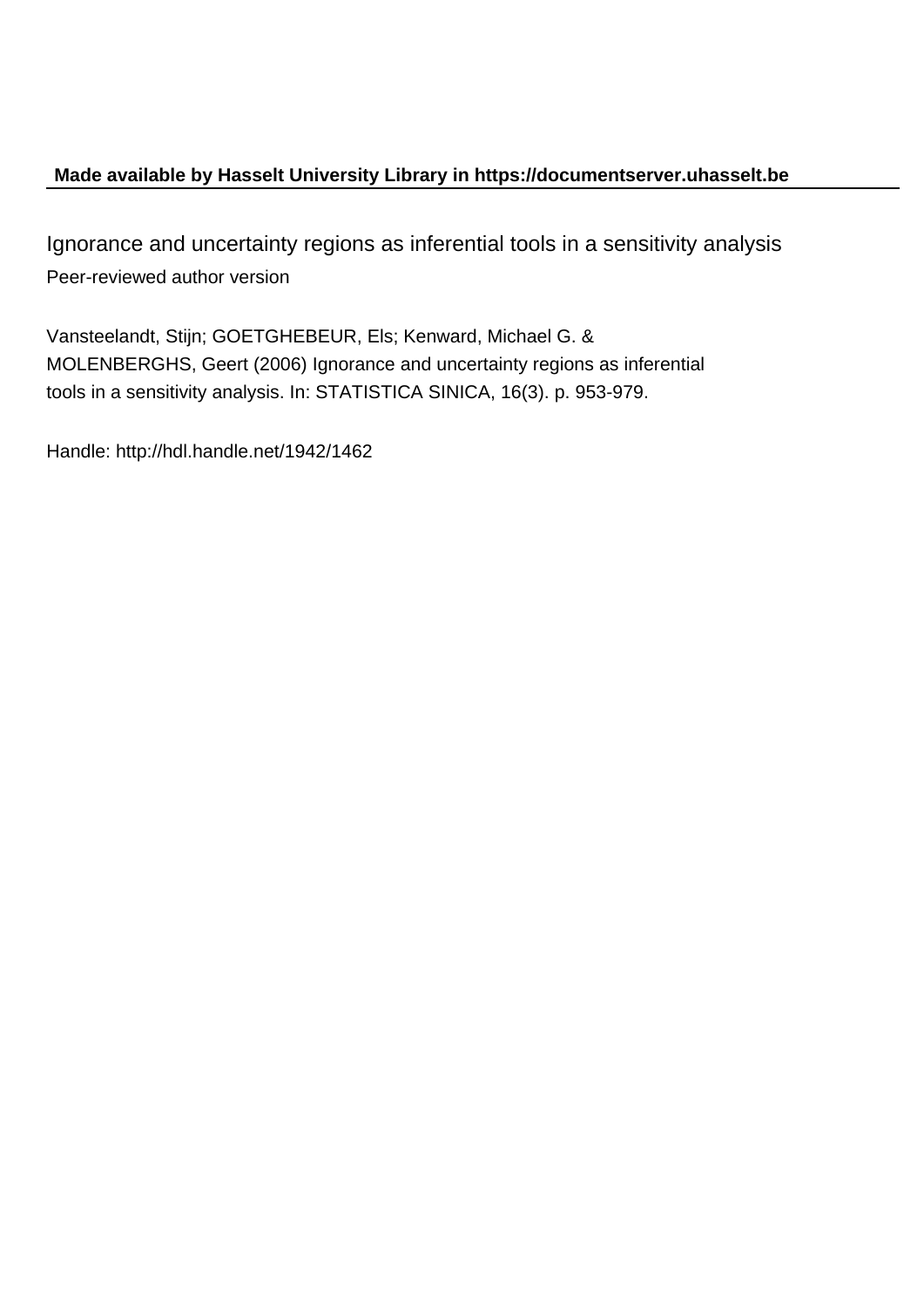# **Made available by Hasselt University Library in https://documentserver.uhasselt.be**

Ignorance and uncertainty regions as inferential tools in a sensitivity analysis Peer-reviewed author version

Vansteelandt, Stijn; GOETGHEBEUR, Els; Kenward, Michael G. & MOLENBERGHS, Geert (2006) Ignorance and uncertainty regions as inferential tools in a sensitivity analysis. In: STATISTICA SINICA, 16(3). p. 953-979.

Handle: http://hdl.handle.net/1942/1462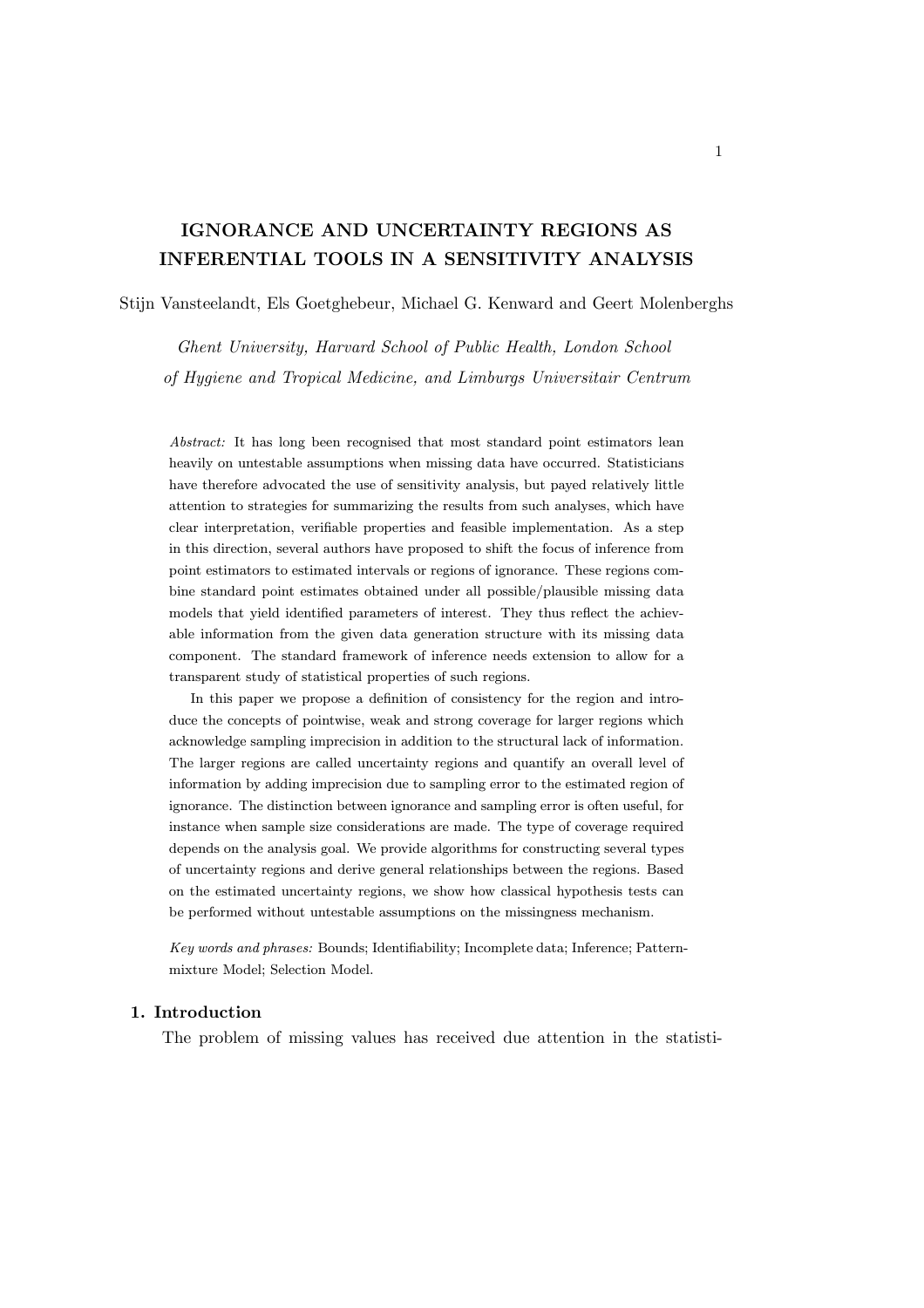# IGNORANCE AND UNCERTAINTY REGIONS AS INFERENTIAL TOOLS IN A SENSITIVITY ANALYSIS

Stijn Vansteelandt, Els Goetghebeur, Michael G. Kenward and Geert Molenberghs

Ghent University, Harvard School of Public Health, London School of Hygiene and Tropical Medicine, and Limburgs Universitair Centrum

Abstract: It has long been recognised that most standard point estimators lean heavily on untestable assumptions when missing data have occurred. Statisticians have therefore advocated the use of sensitivity analysis, but payed relatively little attention to strategies for summarizing the results from such analyses, which have clear interpretation, verifiable properties and feasible implementation. As a step in this direction, several authors have proposed to shift the focus of inference from point estimators to estimated intervals or regions of ignorance. These regions combine standard point estimates obtained under all possible/plausible missing data models that yield identified parameters of interest. They thus reflect the achievable information from the given data generation structure with its missing data component. The standard framework of inference needs extension to allow for a transparent study of statistical properties of such regions.

In this paper we propose a definition of consistency for the region and introduce the concepts of pointwise, weak and strong coverage for larger regions which acknowledge sampling imprecision in addition to the structural lack of information. The larger regions are called uncertainty regions and quantify an overall level of information by adding imprecision due to sampling error to the estimated region of ignorance. The distinction between ignorance and sampling error is often useful, for instance when sample size considerations are made. The type of coverage required depends on the analysis goal. We provide algorithms for constructing several types of uncertainty regions and derive general relationships between the regions. Based on the estimated uncertainty regions, we show how classical hypothesis tests can be performed without untestable assumptions on the missingness mechanism.

Key words and phrases: Bounds; Identifiability; Incomplete data; Inference; Patternmixture Model; Selection Model.

## 1. Introduction

The problem of missing values has received due attention in the statisti-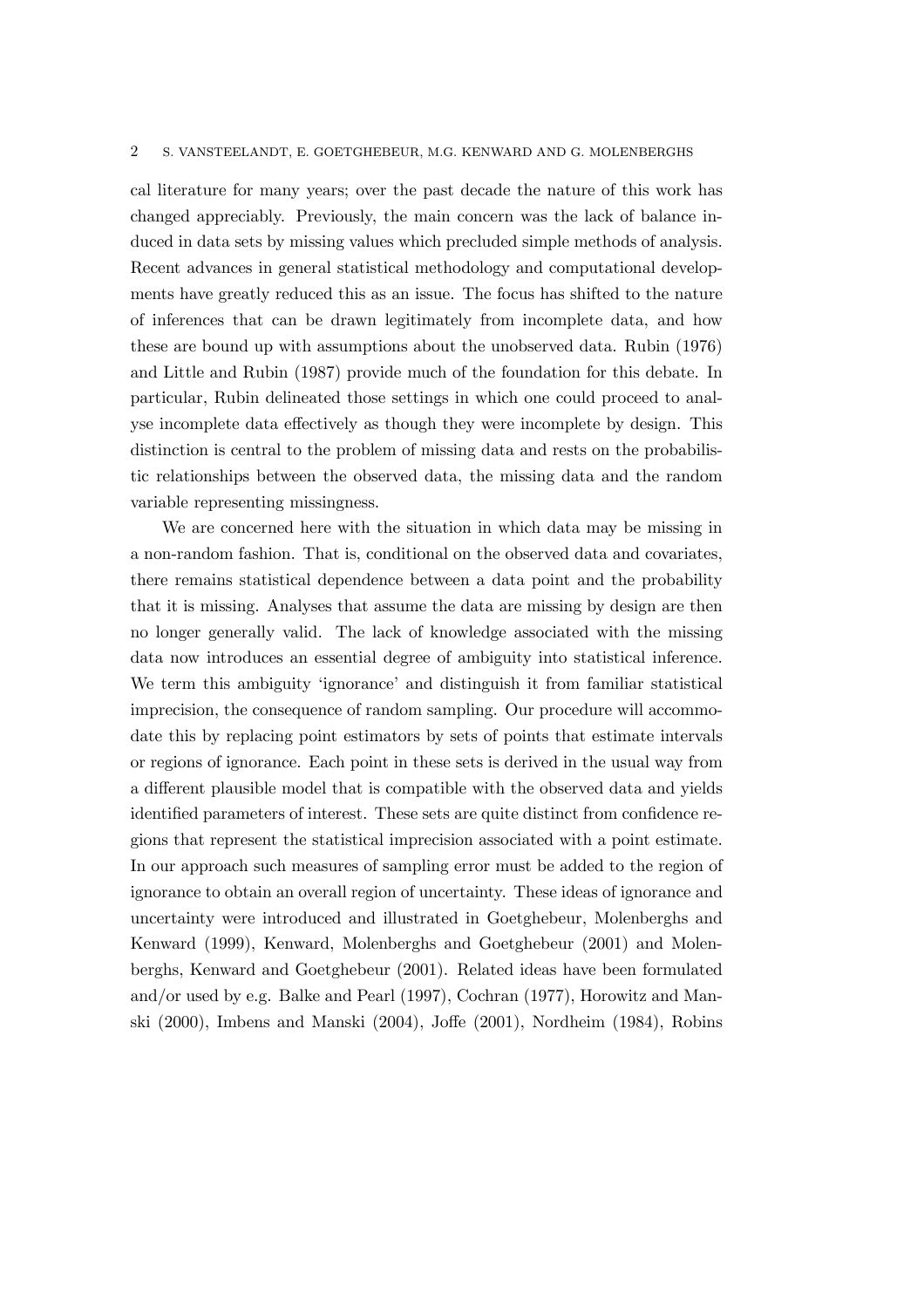cal literature for many years; over the past decade the nature of this work has changed appreciably. Previously, the main concern was the lack of balance induced in data sets by missing values which precluded simple methods of analysis. Recent advances in general statistical methodology and computational developments have greatly reduced this as an issue. The focus has shifted to the nature of inferences that can be drawn legitimately from incomplete data, and how these are bound up with assumptions about the unobserved data. Rubin (1976) and Little and Rubin (1987) provide much of the foundation for this debate. In particular, Rubin delineated those settings in which one could proceed to analyse incomplete data effectively as though they were incomplete by design. This distinction is central to the problem of missing data and rests on the probabilistic relationships between the observed data, the missing data and the random variable representing missingness.

We are concerned here with the situation in which data may be missing in a non-random fashion. That is, conditional on the observed data and covariates, there remains statistical dependence between a data point and the probability that it is missing. Analyses that assume the data are missing by design are then no longer generally valid. The lack of knowledge associated with the missing data now introduces an essential degree of ambiguity into statistical inference. We term this ambiguity 'ignorance' and distinguish it from familiar statistical imprecision, the consequence of random sampling. Our procedure will accommodate this by replacing point estimators by sets of points that estimate intervals or regions of ignorance. Each point in these sets is derived in the usual way from a different plausible model that is compatible with the observed data and yields identified parameters of interest. These sets are quite distinct from confidence regions that represent the statistical imprecision associated with a point estimate. In our approach such measures of sampling error must be added to the region of ignorance to obtain an overall region of uncertainty. These ideas of ignorance and uncertainty were introduced and illustrated in Goetghebeur, Molenberghs and Kenward (1999), Kenward, Molenberghs and Goetghebeur (2001) and Molenberghs, Kenward and Goetghebeur (2001). Related ideas have been formulated and/or used by e.g. Balke and Pearl (1997), Cochran (1977), Horowitz and Manski (2000), Imbens and Manski (2004), Joffe (2001), Nordheim (1984), Robins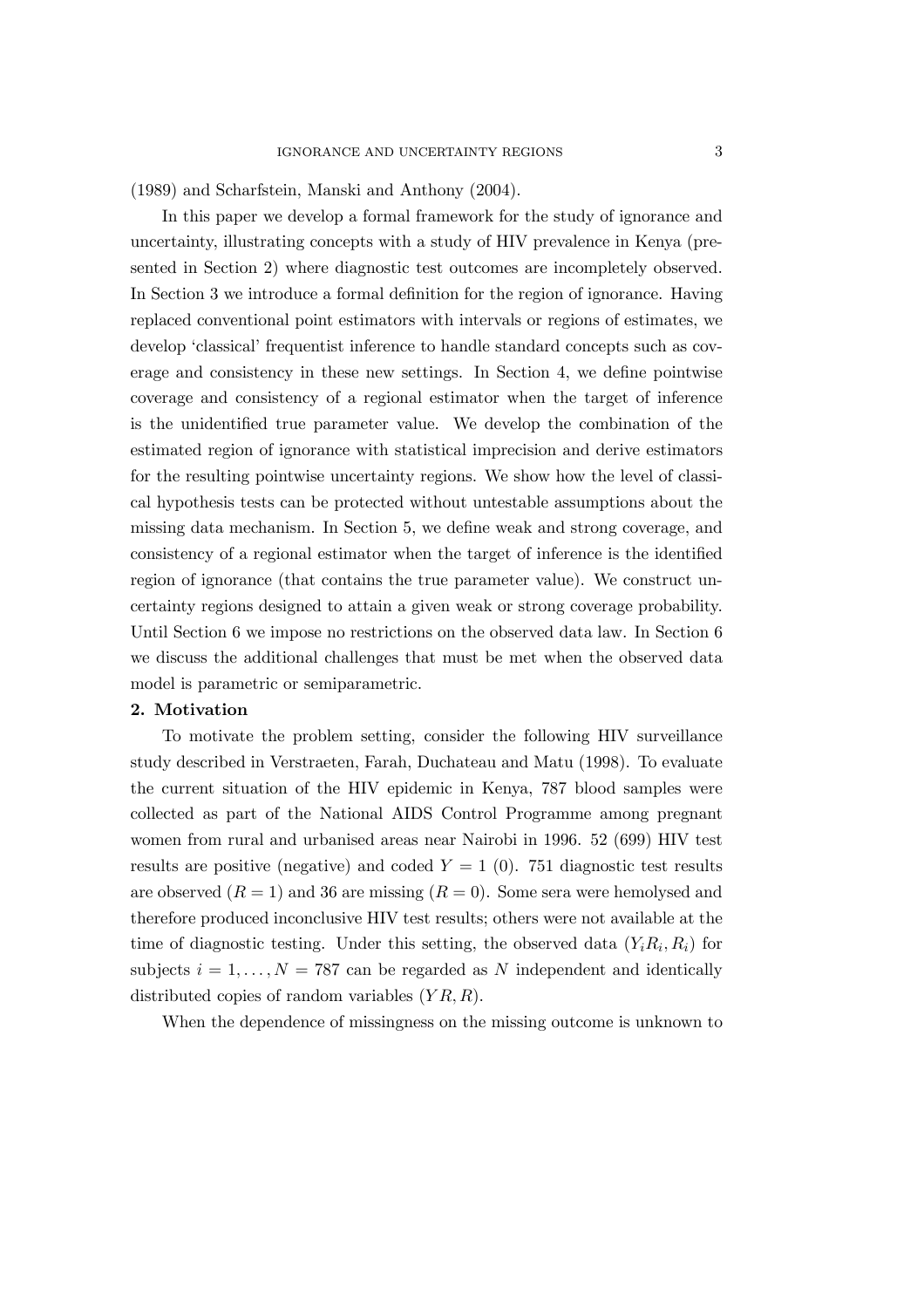(1989) and Scharfstein, Manski and Anthony (2004).

In this paper we develop a formal framework for the study of ignorance and uncertainty, illustrating concepts with a study of HIV prevalence in Kenya (presented in Section 2) where diagnostic test outcomes are incompletely observed. In Section 3 we introduce a formal definition for the region of ignorance. Having replaced conventional point estimators with intervals or regions of estimates, we develop 'classical' frequentist inference to handle standard concepts such as coverage and consistency in these new settings. In Section 4, we define pointwise coverage and consistency of a regional estimator when the target of inference is the unidentified true parameter value. We develop the combination of the estimated region of ignorance with statistical imprecision and derive estimators for the resulting pointwise uncertainty regions. We show how the level of classical hypothesis tests can be protected without untestable assumptions about the missing data mechanism. In Section 5, we define weak and strong coverage, and consistency of a regional estimator when the target of inference is the identified region of ignorance (that contains the true parameter value). We construct uncertainty regions designed to attain a given weak or strong coverage probability. Until Section 6 we impose no restrictions on the observed data law. In Section 6 we discuss the additional challenges that must be met when the observed data model is parametric or semiparametric.

#### 2. Motivation

To motivate the problem setting, consider the following HIV surveillance study described in Verstraeten, Farah, Duchateau and Matu (1998). To evaluate the current situation of the HIV epidemic in Kenya, 787 blood samples were collected as part of the National AIDS Control Programme among pregnant women from rural and urbanised areas near Nairobi in 1996. 52 (699) HIV test results are positive (negative) and coded  $Y = 1$  (0). 751 diagnostic test results are observed  $(R = 1)$  and 36 are missing  $(R = 0)$ . Some sera were hemolysed and therefore produced inconclusive HIV test results; others were not available at the time of diagnostic testing. Under this setting, the observed data  $(Y_i R_i, R_i)$  for subjects  $i = 1, \ldots, N = 787$  can be regarded as N independent and identically distributed copies of random variables  $(YR, R)$ .

When the dependence of missingness on the missing outcome is unknown to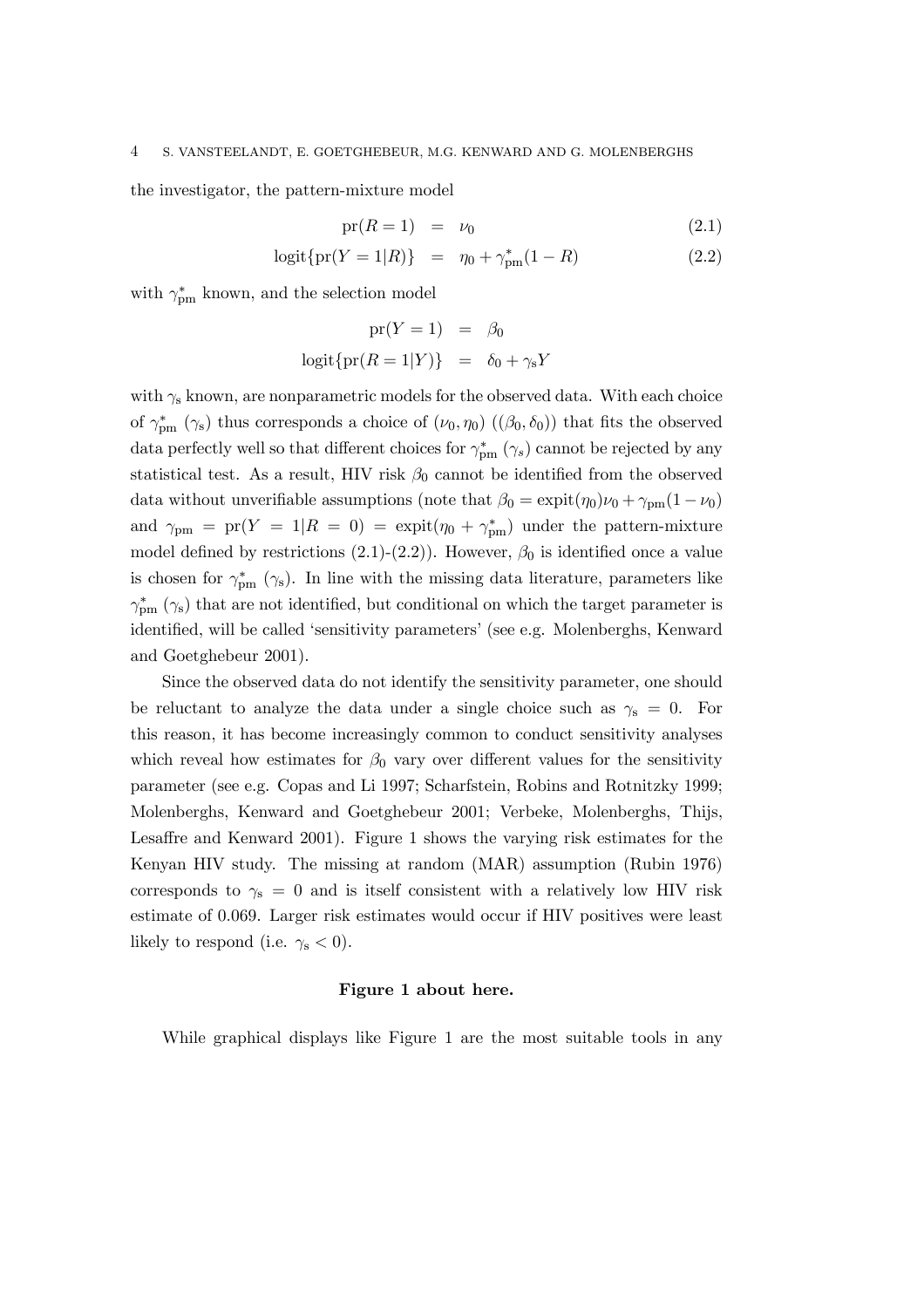the investigator, the pattern-mixture model

$$
pr(R = 1) = \nu_0 \tag{2.1}
$$

$$
logit\{pr(Y=1|R)\} = \eta_0 + \gamma_{pm}^*(1-R)
$$
 (2.2)

with  $\gamma_{pm}^*$  known, and the selection model

$$
pr(Y = 1) = \beta_0
$$
  

$$
logit{{pr(R = 1|Y)} = \delta_0 + \gamma_s Y
$$

with  $\gamma_s$  known, are nonparametric models for the observed data. With each choice of  $\gamma_{pm}^*$  ( $\gamma_{s}$ ) thus corresponds a choice of  $(\nu_0, \eta_0)$  ( $(\beta_0, \delta_0)$ ) that fits the observed data perfectly well so that different choices for  $\gamma_{pm}^{*}$  ( $\gamma_{s}$ ) cannot be rejected by any statistical test. As a result, HIV risk  $\beta_0$  cannot be identified from the observed data without unverifiable assumptions (note that  $\beta_0 = \expit(\eta_0)\nu_0 + \gamma_{pm}(1 - \nu_0)$ and  $\gamma_{\text{pm}} = \text{pr}(Y = 1 | R = 0) = \text{expit}(\eta_0 + \gamma_{\text{pm}}^*)$  under the pattern-mixture model defined by restrictions (2.1)-(2.2)). However,  $\beta_0$  is identified once a value is chosen for  $\gamma_{pm}^*$  ( $\gamma_{s}$ ). In line with the missing data literature, parameters like  $\gamma_{pm}^*$  ( $\gamma_{\rm s}$ ) that are not identified, but conditional on which the target parameter is identified, will be called 'sensitivity parameters' (see e.g. Molenberghs, Kenward and Goetghebeur 2001).

Since the observed data do not identify the sensitivity parameter, one should be reluctant to analyze the data under a single choice such as  $\gamma_s = 0$ . For this reason, it has become increasingly common to conduct sensitivity analyses which reveal how estimates for  $\beta_0$  vary over different values for the sensitivity parameter (see e.g. Copas and Li 1997; Scharfstein, Robins and Rotnitzky 1999; Molenberghs, Kenward and Goetghebeur 2001; Verbeke, Molenberghs, Thijs, Lesaffre and Kenward 2001). Figure 1 shows the varying risk estimates for the Kenyan HIV study. The missing at random (MAR) assumption (Rubin 1976) corresponds to  $\gamma_s = 0$  and is itself consistent with a relatively low HIV risk estimate of 0:069. Larger risk estimates would occur if HIV positives were least likely to respond (i.e.  $\gamma_s < 0$ ).

#### Figure 1 about here.

While graphical displays like Figure 1 are the most suitable tools in any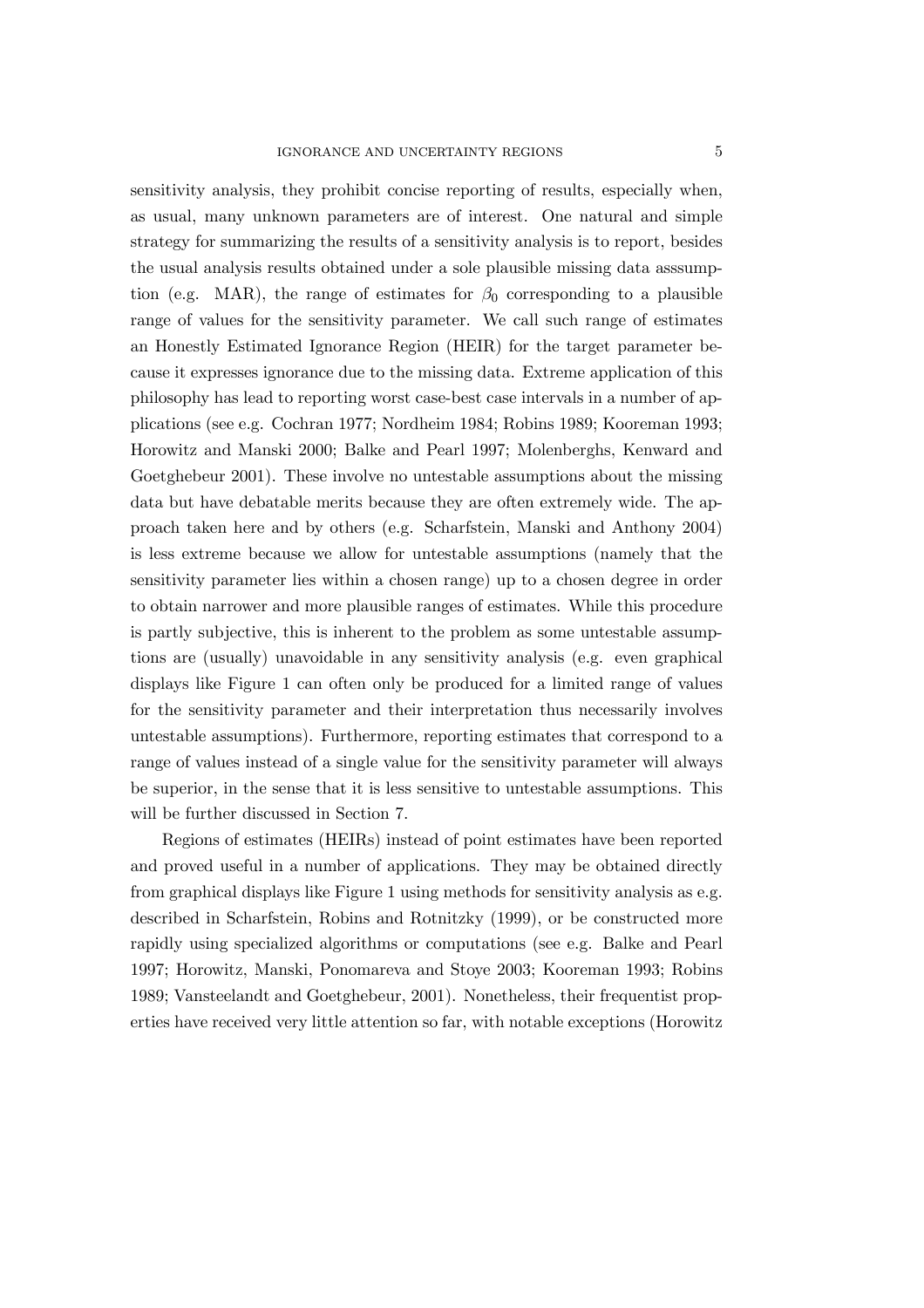sensitivity analysis, they prohibit concise reporting of results, especially when, as usual, many unknown parameters are of interest. One natural and simple strategy for summarizing the results of a sensitivity analysis is to report, besides the usual analysis results obtained under a sole plausible missing data asssumption (e.g. MAR), the range of estimates for  $\beta_0$  corresponding to a plausible range of values for the sensitivity parameter. We call such range of estimates an Honestly Estimated Ignorance Region (HEIR) for the target parameter because it expresses ignorance due to the missing data. Extreme application of this philosophy has lead to reporting worst case-best case intervals in a number of applications (see e.g. Cochran 1977; Nordheim 1984; Robins 1989; Kooreman 1993; Horowitz and Manski 2000; Balke and Pearl 1997; Molenberghs, Kenward and Goetghebeur 2001). These involve no untestable assumptions about the missing data but have debatable merits because they are often extremely wide. The approach taken here and by others (e.g. Scharfstein, Manski and Anthony 2004) is less extreme because we allow for untestable assumptions (namely that the sensitivity parameter lies within a chosen range) up to a chosen degree in order to obtain narrower and more plausible ranges of estimates. While this procedure is partly subjective, this is inherent to the problem as some untestable assumptions are (usually) unavoidable in any sensitivity analysis (e.g. even graphical displays like Figure 1 can often only be produced for a limited range of values for the sensitivity parameter and their interpretation thus necessarily involves untestable assumptions). Furthermore, reporting estimates that correspond to a range of values instead of a single value for the sensitivity parameter will always be superior, in the sense that it is less sensitive to untestable assumptions. This will be further discussed in Section 7.

Regions of estimates (HEIRs) instead of point estimates have been reported and proved useful in a number of applications. They may be obtained directly from graphical displays like Figure 1 using methods for sensitivity analysis as e.g. described in Scharfstein, Robins and Rotnitzky (1999), or be constructed more rapidly using specialized algorithms or computations (see e.g. Balke and Pearl 1997; Horowitz, Manski, Ponomareva and Stoye 2003; Kooreman 1993; Robins 1989; Vansteelandt and Goetghebeur, 2001). Nonetheless, their frequentist properties have received very little attention so far, with notable exceptions (Horowitz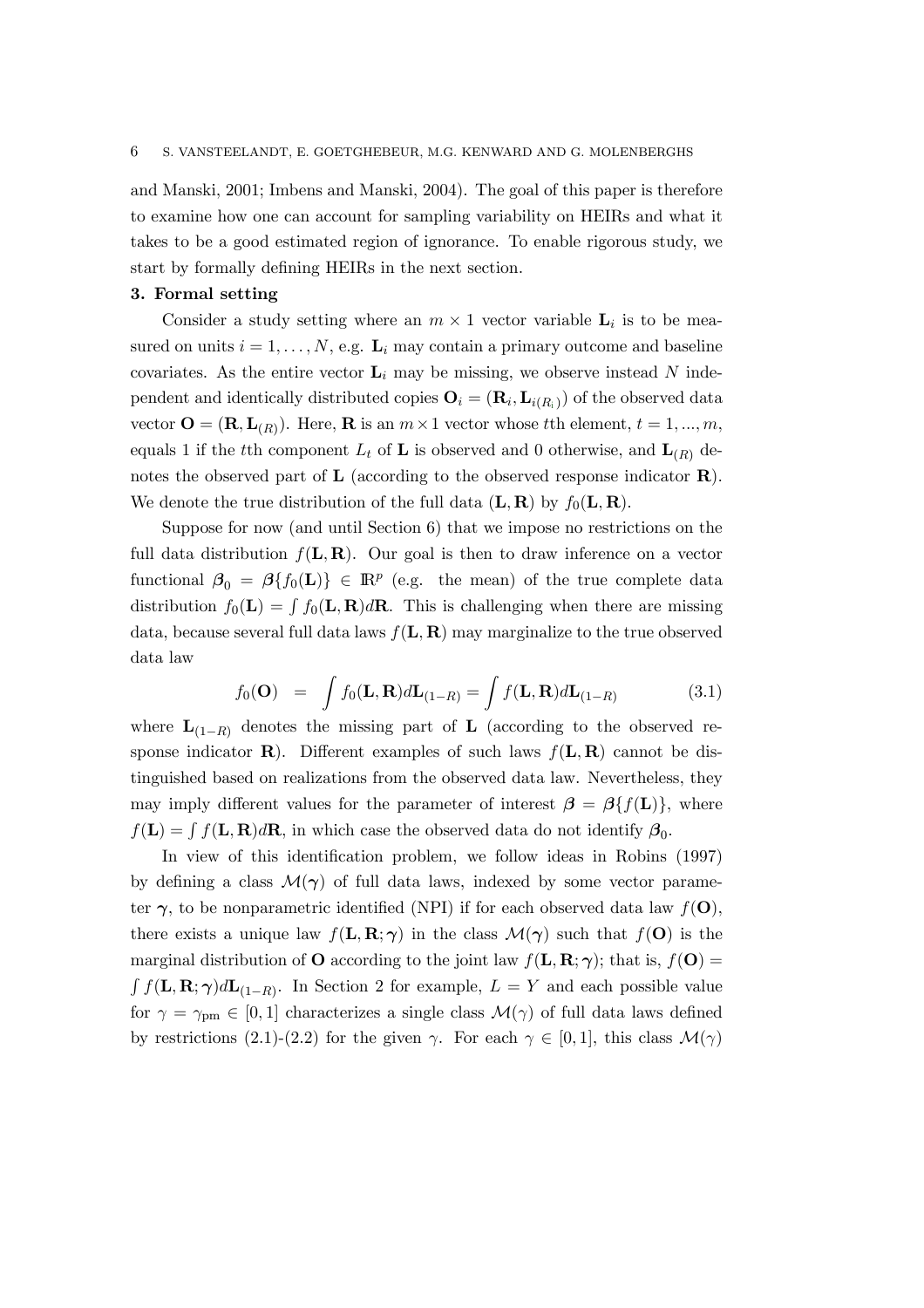and Manski, 2001; Imbens and Manski, 2004). The goal of this paper is therefore to examine how one can account for sampling variability on HEIRs and what it takes to be a good estimated region of ignorance. To enable rigorous study, we start by formally defining HEIRs in the next section.

#### 3. Formal setting

Consider a study setting where an  $m \times 1$  vector variable  $\mathbf{L}_i$  is to be measured on units  $i = 1, \ldots, N$ , e.g.  $\mathbf{L}_i$  may contain a primary outcome and baseline covariates. As the entire vector  $L_i$  may be missing, we observe instead N independent and identically distributed copies  $\mathbf{O}_i = (\mathbf{R}_i, \mathbf{L}_{i(R_i)})$  of the observed data vector  $\mathbf{O} = (\mathbf{R}, \mathbf{L}_{(R)})$ . Here,  $\mathbf{R}$  is an  $m \times 1$  vector whose tth element,  $t = 1, ..., m$ , equals 1 if the tth component  $L_t$  of **L** is observed and 0 otherwise, and  $\mathbf{L}_{(R)}$  denotes the observed part of  $\bf{L}$  (according to the observed response indicator  $\bf{R}$ ). We denote the true distribution of the full data  $(L, R)$  by  $f_0(L, R)$ .

Suppose for now (and until Section 6) that we impose no restrictions on the full data distribution  $f(L, R)$ . Our goal is then to draw inference on a vector functional  $\beta_0 = \beta\{f_0(\mathbf{L})\} \in \mathbb{R}^p$  (e.g. the mean) of the true complete data distribution  $f_0(\mathbf{L}) = \int f_0(\mathbf{L}, \mathbf{R}) d\mathbf{R}$ . This is challenging when there are missing data, because several full data laws  $f(L, R)$  may marginalize to the true observed data law

$$
f_0(\mathbf{O}) = \int f_0(\mathbf{L}, \mathbf{R}) d\mathbf{L}_{(1-R)} = \int f(\mathbf{L}, \mathbf{R}) d\mathbf{L}_{(1-R)}
$$
(3.1)

where  $\mathbf{L}_{(1-R)}$  denotes the missing part of  $\mathbf{L}$  (according to the observed response indicator **R**). Different examples of such laws  $f(L, R)$  cannot be distinguished based on realizations from the observed data law. Nevertheless, they may imply different values for the parameter of interest  $\beta = \beta \{f(\mathbf{L})\}\,$ , where  $f(\mathbf{L}) = \int f(\mathbf{L}, \mathbf{R})d\mathbf{R}$ , in which case the observed data do not identify  $\beta_0$ .

In view of this identification problem, we follow ideas in Robins (1997) by defining a class  $\mathcal{M}(\gamma)$  of full data laws, indexed by some vector parameter  $\gamma$ , to be nonparametric identified (NPI) if for each observed data law  $f(\mathbf{O})$ , there exists a unique law  $f(L, R; \gamma)$  in the class  $\mathcal{M}(\gamma)$  such that  $f(\mathbf{O})$  is the marginal distribution of **O** according to the joint law  $f(\mathbf{L}, \mathbf{R}; \gamma)$ ; that is,  $f(\mathbf{O}) =$  $\int f(\mathbf{L}, \mathbf{R}; \gamma) d\mathbf{L}_{(1-R)}$ . In Section 2 for example,  $L = Y$  and each possible value for  $\gamma = \gamma_{\text{pm}} \in [0, 1]$  characterizes a single class  $\mathcal{M}(\gamma)$  of full data laws defined by restrictions (2.1)-(2.2) for the given  $\gamma$ . For each  $\gamma \in [0,1]$ , this class  $\mathcal{M}(\gamma)$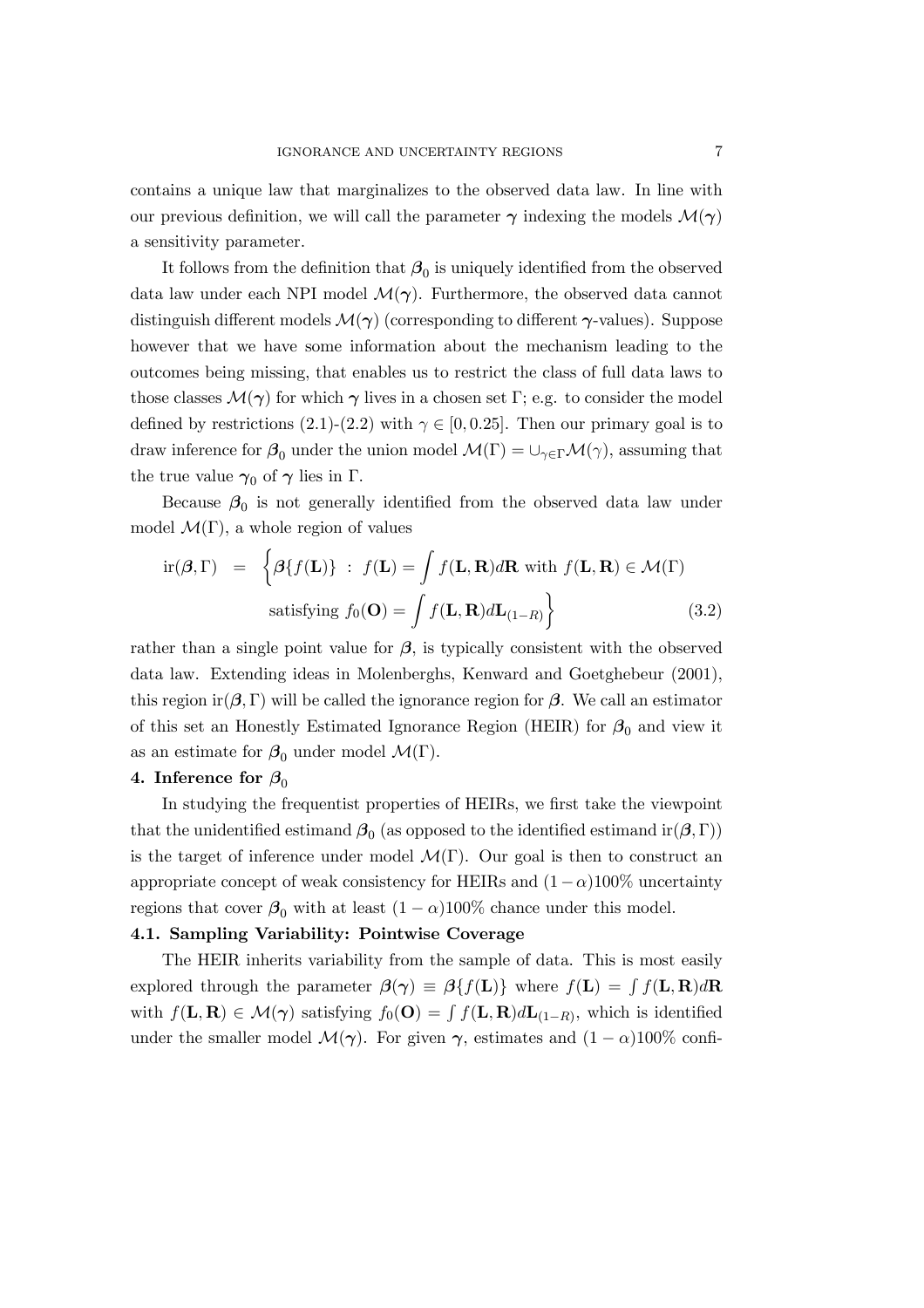contains a unique law that marginalizes to the observed data law. In line with our previous definition, we will call the parameter  $\gamma$  indexing the models  $\mathcal{M}(\gamma)$ a sensitivity parameter.

It follows from the definition that  $\beta_0$  is uniquely identified from the observed data law under each NPI model  $\mathcal{M}(\gamma)$ . Furthermore, the observed data cannot distinguish different models  $\mathcal{M}(\gamma)$  (corresponding to different  $\gamma$ -values). Suppose however that we have some information about the mechanism leading to the outcomes being missing, that enables us to restrict the class of full data laws to those classes  $\mathcal{M}(\gamma)$  for which  $\gamma$  lives in a chosen set Γ; e.g. to consider the model defined by restrictions (2.1)-(2.2) with  $\gamma \in [0, 0.25]$ . Then our primary goal is to draw inference for  $\beta_0$  under the union model  $\mathcal{M}(\Gamma) = \cup_{\gamma \in \Gamma} \mathcal{M}(\gamma)$ , assuming that the true value  $\gamma_0$  of  $\gamma$  lies in Γ.

Because  $\beta_0$  is not generally identified from the observed data law under model  $\mathcal{M}(\Gamma)$ , a whole region of values

$$
\text{ir}(\boldsymbol{\beta}, \Gamma) = \left\{ \boldsymbol{\beta} \{ f(\mathbf{L}) \} : f(\mathbf{L}) = \int f(\mathbf{L}, \mathbf{R}) d\mathbf{R} \text{ with } f(\mathbf{L}, \mathbf{R}) \in \mathcal{M}(\Gamma) \right\}
$$
\n
$$
\text{satisfying } f_0(\mathbf{O}) = \int f(\mathbf{L}, \mathbf{R}) d\mathbf{L}_{(1-R)} \right\} \tag{3.2}
$$

rather than a single point value for  $\beta$ , is typically consistent with the observed data law. Extending ideas in Molenberghs, Kenward and Goetghebeur (2001), this region ir $(\beta, \Gamma)$  will be called the ignorance region for  $\beta$ . We call an estimator of this set an Honestly Estimated Ignorance Region (HEIR) for  $\beta_0$  and view it as an estimate for  $\beta_0$  under model  $\mathcal{M}(\Gamma)$ .

#### 4. Inference for  $\beta_0$

In studying the frequentist properties of HEIRs, we first take the viewpoint that the unidentified estimand  $\beta_0$  (as opposed to the identified estimand ir $(\beta, \Gamma)$ ) is the target of inference under model  $\mathcal{M}(\Gamma)$ . Our goal is then to construct an appropriate concept of weak consistency for HEIRs and  $(1-\alpha)100\%$  uncertainty regions that cover  $\beta_0$  with at least  $(1 - \alpha)100\%$  chance under this model.

# 4.1. Sampling Variability: Pointwise Coverage

The HEIR inherits variability from the sample of data. This is most easily explored through the parameter  $\beta(\gamma) \equiv \beta\{f(\mathbf{L})\}$  where  $f(\mathbf{L}) = \int f(\mathbf{L}, \mathbf{R}) d\mathbf{R}$ with  $f(\mathbf{L}, \mathbf{R}) \in \mathcal{M}(\gamma)$  satisfying  $f_0(\mathbf{O}) = \int f(\mathbf{L}, \mathbf{R}) d\mathbf{L}_{(1-R)}$ , which is identified under the smaller model  $\mathcal{M}(\gamma)$ . For given  $\gamma$ , estimates and  $(1 - \alpha)100\%$  confi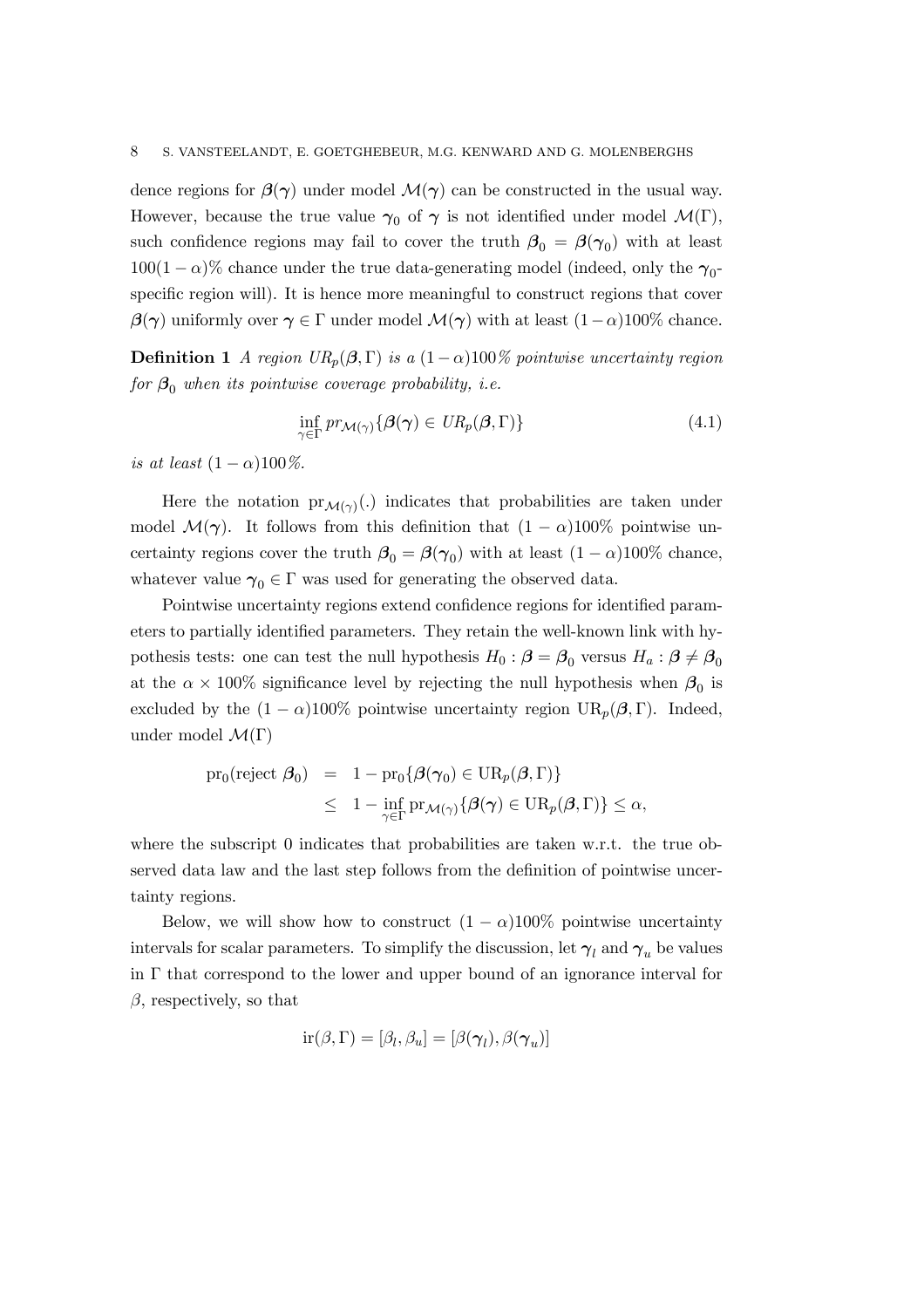dence regions for  $\beta(\gamma)$  under model  $\mathcal{M}(\gamma)$  can be constructed in the usual way. However, because the true value  $\gamma_0$  of  $\gamma$  is not identified under model  $\mathcal{M}(\Gamma)$ , such confidence regions may fail to cover the truth  $\beta_0 = \beta(\gamma_0)$  with at least  $100(1-\alpha)\%$  chance under the true data-generating model (indeed, only the  $\gamma_{0}$ specific region will). It is hence more meaningful to construct regions that cover  $\beta(\gamma)$  uniformly over  $\gamma \in \Gamma$  under model  $\mathcal{M}(\gamma)$  with at least  $(1-\alpha)100\%$  chance.

**Definition 1** A region  $UR_p(\beta, \Gamma)$  is a  $(1-\alpha)100\%$  pointwise uncertainty region for  $\beta_0$  when its pointwise coverage probability, i.e.

$$
\inf_{\gamma \in \Gamma} pr_{\mathcal{M}(\gamma)} \{ \beta(\gamma) \in \text{UR}_p(\beta, \Gamma) \} \tag{4.1}
$$

is at least  $(1 - \alpha)100\%$ .

Here the notation  $pr_{\mathcal{M}(\gamma)}(.)$  indicates that probabilities are taken under model  $\mathcal{M}(\gamma)$ . It follows from this definition that  $(1 - \alpha)100\%$  pointwise uncertainty regions cover the truth  $\beta_0 = \beta(\gamma_0)$  with at least  $(1 - \alpha)100\%$  chance, whatever value  $\gamma_0 \in \Gamma$  was used for generating the observed data.

Pointwise uncertainty regions extend confidence regions for identified parameters to partially identified parameters. They retain the well-known link with hypothesis tests: one can test the null hypothesis  $H_0$  :  $\beta = \beta_0$  versus  $H_a$  :  $\beta \neq \beta_0$ at the  $\alpha \times 100\%$  significance level by rejecting the null hypothesis when  $\beta_0$  is excluded by the  $(1 - \alpha)100\%$  pointwise uncertainty region  $UR_p(\beta, \Gamma)$ . Indeed, under model  $\mathcal{M}(\Gamma)$ 

$$
\begin{array}{rcl}\n\text{pr}_0(\text{reject } \beta_0) & = & 1 - \text{pr}_0\{\beta(\gamma_0) \in \text{UR}_p(\beta, \Gamma)\} \\
& \leq & 1 - \inf_{\gamma \in \Gamma} \text{pr}_{\mathcal{M}(\gamma)}\{\beta(\gamma) \in \text{UR}_p(\beta, \Gamma)\} \leq \alpha,\n\end{array}
$$

where the subscript 0 indicates that probabilities are taken w.r.t. the true observed data law and the last step follows from the definition of pointwise uncertainty regions.

Below, we will show how to construct  $(1 - \alpha)100\%$  pointwise uncertainty intervals for scalar parameters. To simplify the discussion, let  $\gamma_l$  and  $\gamma_u$  be values in Γ that correspond to the lower and upper bound of an ignorance interval for  $\beta$ , respectively, so that

$$
\text{ir}(\beta, \Gamma) = [\beta_l, \beta_u] = [\beta(\gamma_l), \beta(\gamma_u)]
$$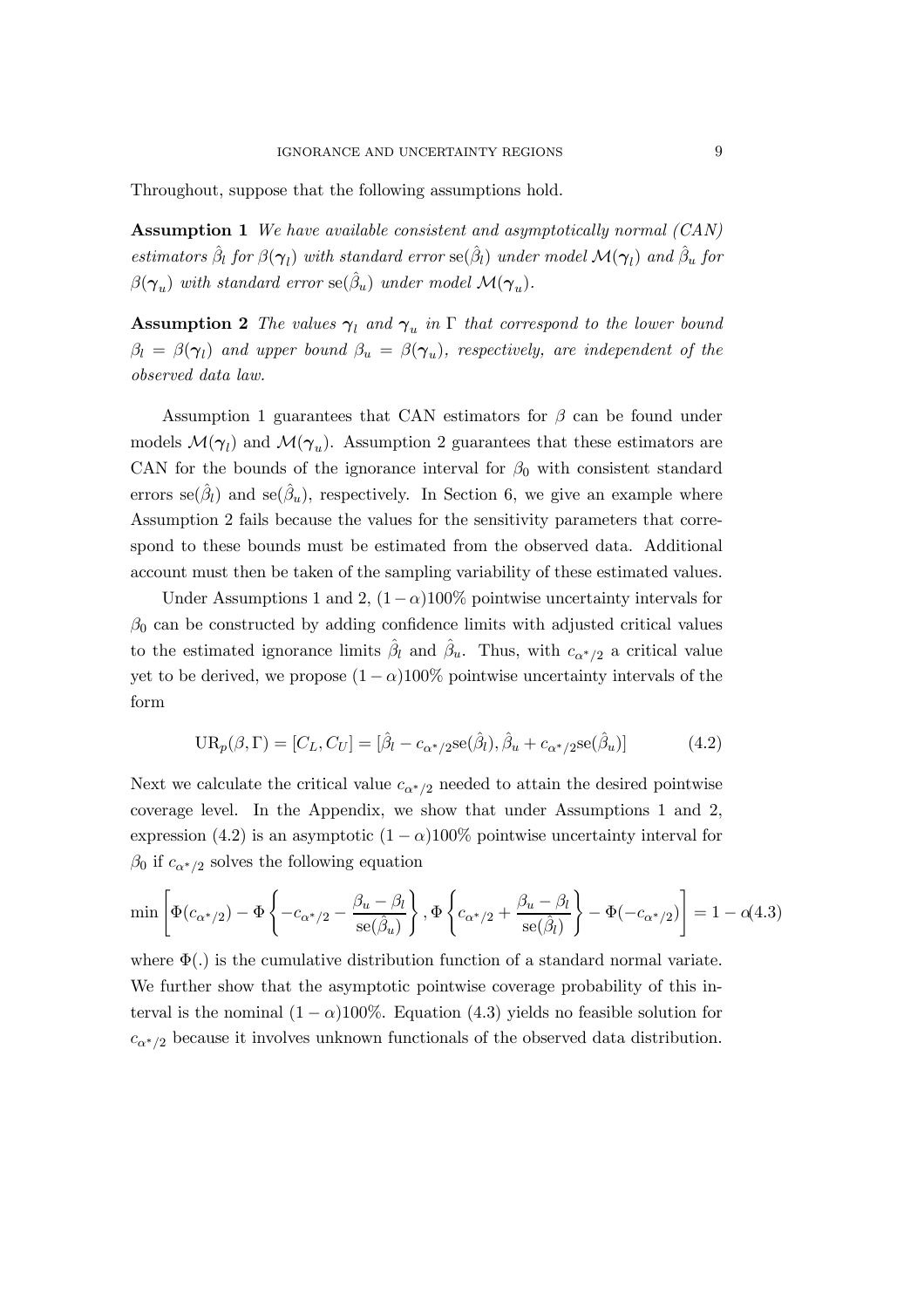Throughout, suppose that the following assumptions hold.

**Assumption 1** We have available consistent and asymptotically normal (CAN) estimators  $\hat{\beta}_l$  for  $\beta(\gamma_l)$  with standard error  $se(\hat{\beta}_l)$  under model  $\mathcal{M}(\gamma_l)$  and  $\hat{\beta}_u$  for  $\beta(\gamma_u)$  with standard error  $se(\hat{\beta}_u)$  under model  $\mathcal{M}(\gamma_u)$ .

**Assumption 2** The values  $\gamma_l$  and  $\gamma_u$  in  $\Gamma$  that correspond to the lower bound  $\beta_l = \beta(\gamma_l)$  and upper bound  $\beta_u = \beta(\gamma_u)$ , respectively, are independent of the observed data law.

Assumption 1 guarantees that CAN estimators for  $\beta$  can be found under models  $\mathcal{M}(\gamma_l)$  and  $\mathcal{M}(\gamma_u)$ . Assumption 2 guarantees that these estimators are CAN for the bounds of the ignorance interval for  $\beta_0$  with consistent standard errors se $(\hat{\beta}_l)$  and se $(\hat{\beta}_u)$ , respectively. In Section 6, we give an example where Assumption 2 fails because the values for the sensitivity parameters that correspond to these bounds must be estimated from the observed data. Additional account must then be taken of the sampling variability of these estimated values.

Under Assumptions 1 and 2,  $(1-\alpha)100\%$  pointwise uncertainty intervals for  $\beta_0$  can be constructed by adding confidence limits with adjusted critical values to the estimated ignorance limits  $\hat{\beta}_l$  and  $\hat{\beta}_u$ . Thus, with  $c_{\alpha^*/2}$  a critical value yet to be derived, we propose  $(1 - \alpha)100\%$  pointwise uncertainty intervals of the form

$$
UR_p(\beta, \Gamma) = [C_L, C_U] = [\hat{\beta}_l - c_{\alpha^*/2} \text{se}(\hat{\beta}_l), \hat{\beta}_u + c_{\alpha^*/2} \text{se}(\hat{\beta}_u)] \tag{4.2}
$$

Next we calculate the critical value  $c_{\alpha^*/2}$  needed to attain the desired pointwise coverage level. In the Appendix, we show that under Assumptions 1 and 2, expression (4.2) is an asymptotic  $(1 - \alpha)100\%$  pointwise uncertainty interval for  $\beta_0$  if  $c_{\alpha^*/2}$  solves the following equation

$$
\min\left[\Phi(c_{\alpha^*/2}) - \Phi\left\{-c_{\alpha^*/2} - \frac{\beta_u - \beta_l}{\text{se}(\hat{\beta}_u)}\right\}, \Phi\left\{c_{\alpha^*/2} + \frac{\beta_u - \beta_l}{\text{se}(\hat{\beta}_l)}\right\} - \Phi(-c_{\alpha^*/2})\right] = 1 - o(4.3)
$$

where  $\Phi(.)$  is the cumulative distribution function of a standard normal variate. We further show that the asymptotic pointwise coverage probability of this interval is the nominal  $(1 - \alpha)100\%$ . Equation (4.3) yields no feasible solution for  $c_{\alpha^*/2}$  because it involves unknown functionals of the observed data distribution.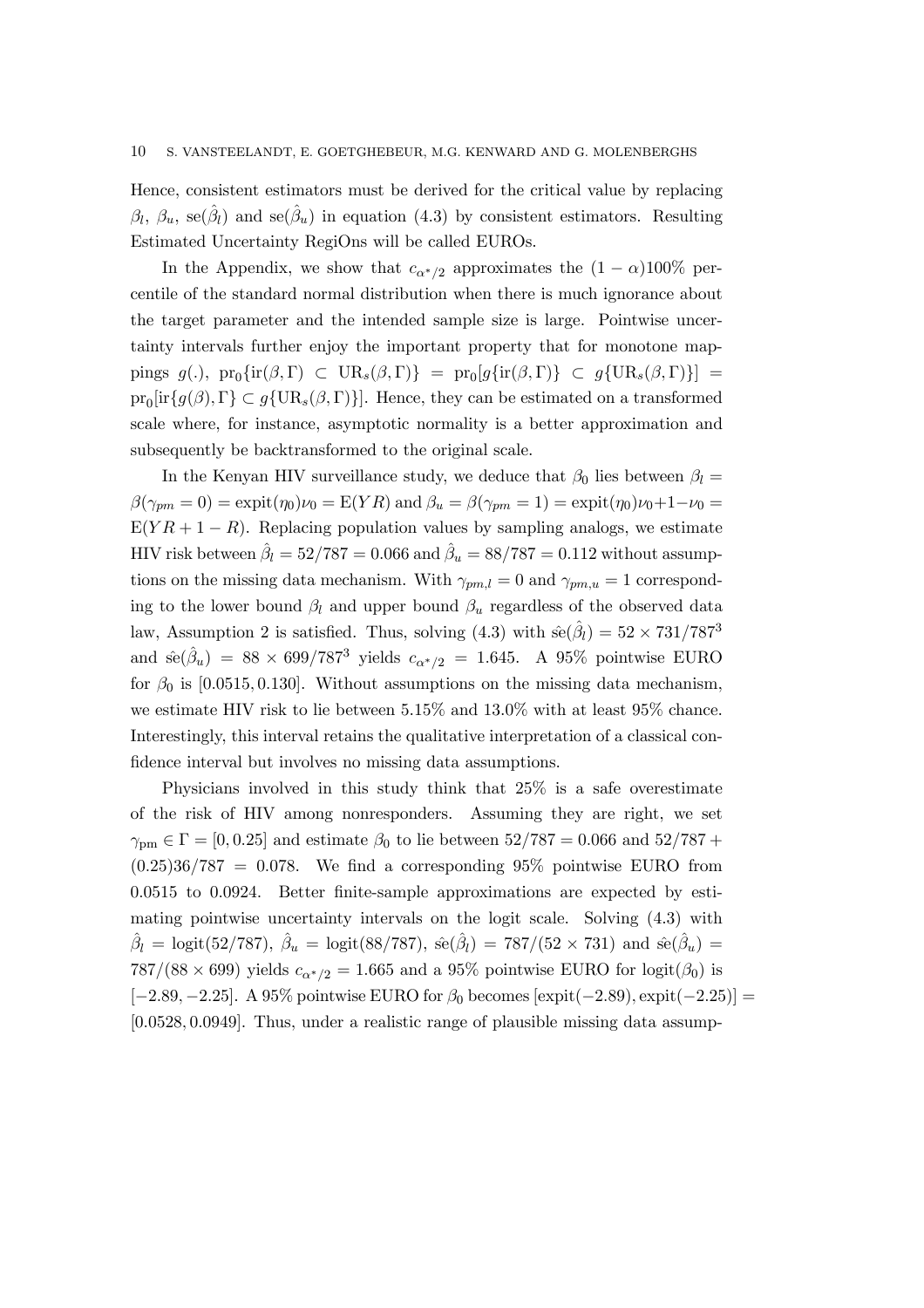Hence, consistent estimators must be derived for the critical value by replacing  $\beta_l$ ,  $\beta_u$ , se( $\hat{\beta}_l$ ) and se( $\hat{\beta}_u$ ) in equation (4.3) by consistent estimators. Resulting Estimated Uncertainty RegiOns will be called EUROs.

In the Appendix, we show that  $c_{\alpha^*/2}$  approximates the  $(1 - \alpha)100\%$  percentile of the standard normal distribution when there is much ignorance about the target parameter and the intended sample size is large. Pointwise uncertainty intervals further enjoy the important property that for monotone mappings  $g(.)$ ,  $pr_0\{ir(\beta, \Gamma) \subset UR_s(\beta, \Gamma)\} = pr_0[g\{ir(\beta, \Gamma)\} \subset g\{UR_s(\beta, \Gamma)\}] =$  $pr_0[ir{g(\beta),\Gamma} \subset g{UR_s(\beta,\Gamma)}].$  Hence, they can be estimated on a transformed scale where, for instance, asymptotic normality is a better approximation and subsequently be backtransformed to the original scale.

In the Kenyan HIV surveillance study, we deduce that  $\beta_0$  lies between  $\beta_l =$  $\beta(\gamma_{pm} = 0) = \text{expit}(\eta_0)\nu_0 = E(YR)$  and  $\beta_u = \beta(\gamma_{pm} = 1) = \text{expit}(\eta_0)\nu_0 + 1-\nu_0 =$  $E(YR + 1 - R)$ . Replacing population values by sampling analogs, we estimate HIV risk between  $\hat{\beta}_l = 52/787 = 0.066$  and  $\hat{\beta}_u = 88/787 = 0.112$  without assumptions on the missing data mechanism. With  $\gamma_{pm,l} = 0$  and  $\gamma_{pm,u} = 1$  corresponding to the lower bound  $\beta_l$  and upper bound  $\beta_u$  regardless of the observed data law, Assumption 2 is satisfied. Thus, solving  $(4.3)$  with  $\hat{\text{se}}(\hat{\beta}_l) = 52 \times 731/787^3$ and  $\hat{\text{se}}(\hat{\beta}_u) = 88 \times 699/787^3$  yields  $c_{\alpha^*/2} = 1.645$ . A 95% pointwise EURO for  $\beta_0$  is [0.0515, 0.130]. Without assumptions on the missing data mechanism, we estimate HIV risk to lie between 5.15% and 13.0% with at least 95% chance. Interestingly, this interval retains the qualitative interpretation of a classical confidence interval but involves no missing data assumptions.

Physicians involved in this study think that 25% is a safe overestimate of the risk of HIV among nonresponders. Assuming they are right, we set  $\gamma_{\text{pm}} \in \Gamma = [0, 0.25]$  and estimate  $\beta_0$  to lie between  $52/787 = 0.066$  and  $52/787 +$  $(0.25)36/787 = 0.078$ . We find a corresponding 95% pointwise EURO from 0:0515 to 0:0924. Better finite-sample approximations are expected by estimating pointwise uncertainty intervals on the logit scale. Solving (4.3) with  $\hat{\beta}_l = \text{logit}(52/787), \ \hat{\beta}_u = \text{logit}(88/787), \ \hat{\text{se}}(\hat{\beta}_l) = 787/(52 \times 731) \text{ and } \hat{\text{se}}(\hat{\beta}_u) =$ 787/(88 × 699) yields  $c_{\alpha^*/2} = 1.665$  and a 95% pointwise EURO for logit( $\beta_0$ ) is  $[-2.89, -2.25]$ . A 95% pointwise EURO for  $\beta_0$  becomes  $[\exp(t\{-2.89), \exp(t\{-2.25\}]]$ [0:0528; 0:0949]. Thus, under a realistic range of plausible missing data assump-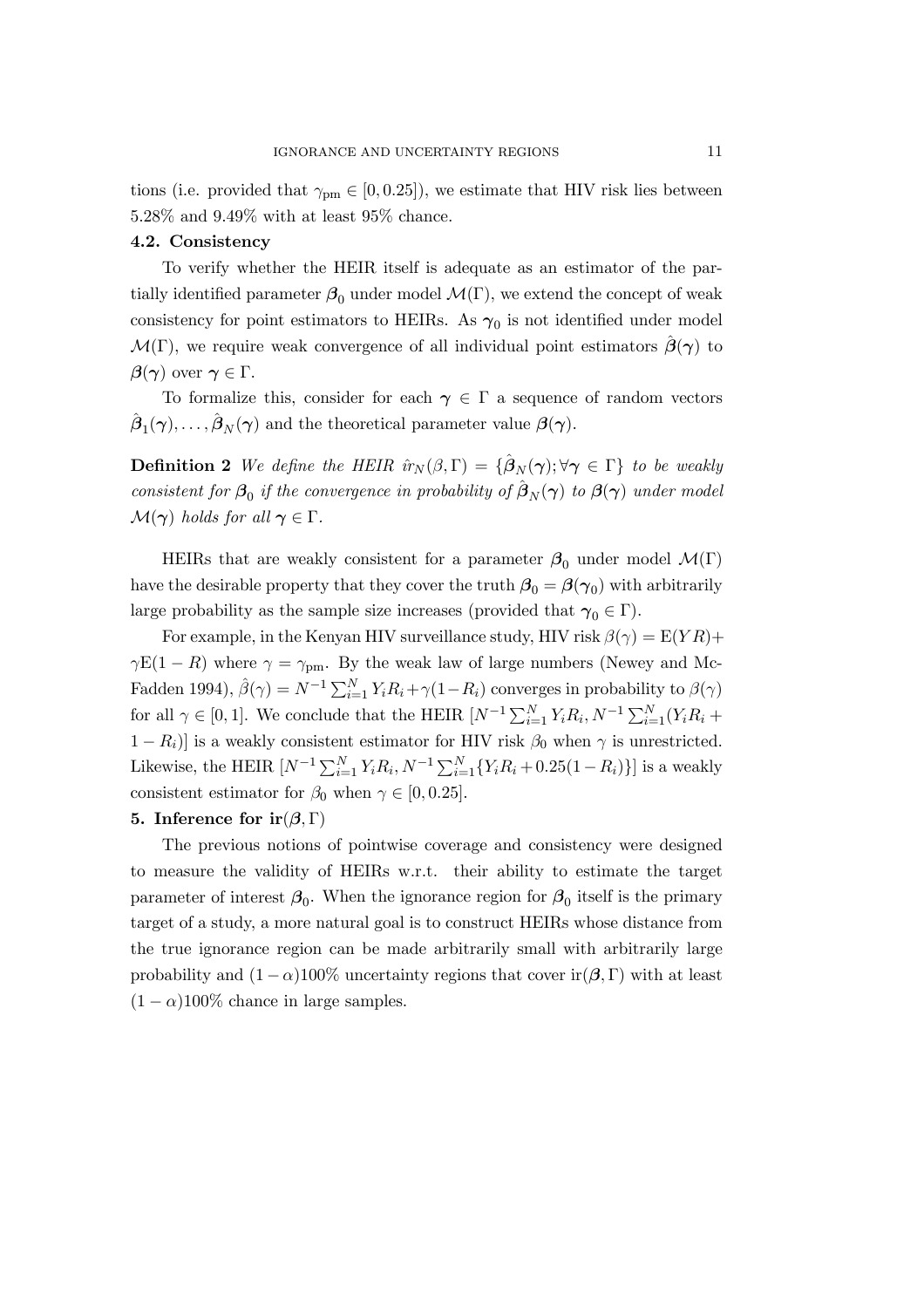tions (i.e. provided that  $\gamma_{pm} \in [0, 0.25]$ ), we estimate that HIV risk lies between 5.28% and 9.49% with at least 95% chance.

## 4.2. Consistency

To verify whether the HEIR itself is adequate as an estimator of the partially identified parameter  $\beta_0$  under model  $\mathcal{M}(\Gamma)$ , we extend the concept of weak consistency for point estimators to HEIRs. As  $\gamma_0$  is not identified under model  $\mathcal{M}(\Gamma)$ , we require weak convergence of all individual point estimators  $\beta(\gamma)$  to  $\beta(\gamma)$  over  $\gamma \in \Gamma$ .

To formalize this, consider for each  $\gamma \in \Gamma$  a sequence of random vectors  $\hat{\boldsymbol{\beta}}_1(\boldsymbol{\gamma}),\ldots,\hat{\boldsymbol{\beta}}_N(\boldsymbol{\gamma})$  and the theoretical parameter value  $\boldsymbol{\beta}(\boldsymbol{\gamma})$ .

**Definition 2** We define the HEIR  $\hat{u}_N(\beta, \Gamma) = {\hat{\beta}_N(\gamma)}; \forall \gamma \in \Gamma$  to be weakly consistent for  $\beta_0$  if the convergence in probability of  $\hat{\beta}_N(\gamma)$  to  $\beta(\gamma)$  under model  $\mathcal{M}(\gamma)$  holds for all  $\gamma \in \Gamma$ .

HEIRs that are weakly consistent for a parameter  $\beta_0$  under model  $\mathcal{M}(\Gamma)$ have the desirable property that they cover the truth  $\beta_0 = \beta(\gamma_0)$  with arbitrarily large probability as the sample size increases (provided that  $\gamma_0 \in \Gamma$ ).

For example, in the Kenyan HIV surveillance study, HIV risk  $\beta(\gamma) = E(YR) +$  $\gamma E(1 - R)$  where  $\gamma = \gamma_{pm}$ . By the weak law of large numbers (Newey and Mc-Fadden 1994),  $\hat{\beta}(\gamma) = N^{-1} \sum_{i=1}^{N} Y_i R_i + \gamma (1 - R_i)$  converges in probability to  $\beta(\gamma)$ for all  $\gamma \in [0,1]$ . We conclude that the HEIR  $[N^{-1}\sum_{i=1}^{N}Y_iR_i, N^{-1}\sum_{i=1}^{N}(Y_iR_i +$  $1 - R_i$ ) is a weakly consistent estimator for HIV risk  $\beta_0$  when  $\gamma$  is unrestricted. Likewise, the HEIR  $[N^{-1}\sum_{i=1}^{N}Y_iR_i, N^{-1}\sum_{i=1}^{N}\{Y_iR_i+0.25(1-R_i)\}]$  is a weakly consistent estimator for  $\beta_0$  when  $\gamma \in [0, 0.25]$ .

#### 5. Inference for  $ir(\beta, \Gamma)$

The previous notions of pointwise coverage and consistency were designed to measure the validity of HEIRs w.r.t. their ability to estimate the target parameter of interest  $\beta_0$ . When the ignorance region for  $\beta_0$  itself is the primary target of a study, a more natural goal is to construct HEIRs whose distance from the true ignorance region can be made arbitrarily small with arbitrarily large probability and  $(1 - \alpha)100\%$  uncertainty regions that cover ir $(\beta, \Gamma)$  with at least  $(1 - \alpha)100\%$  chance in large samples.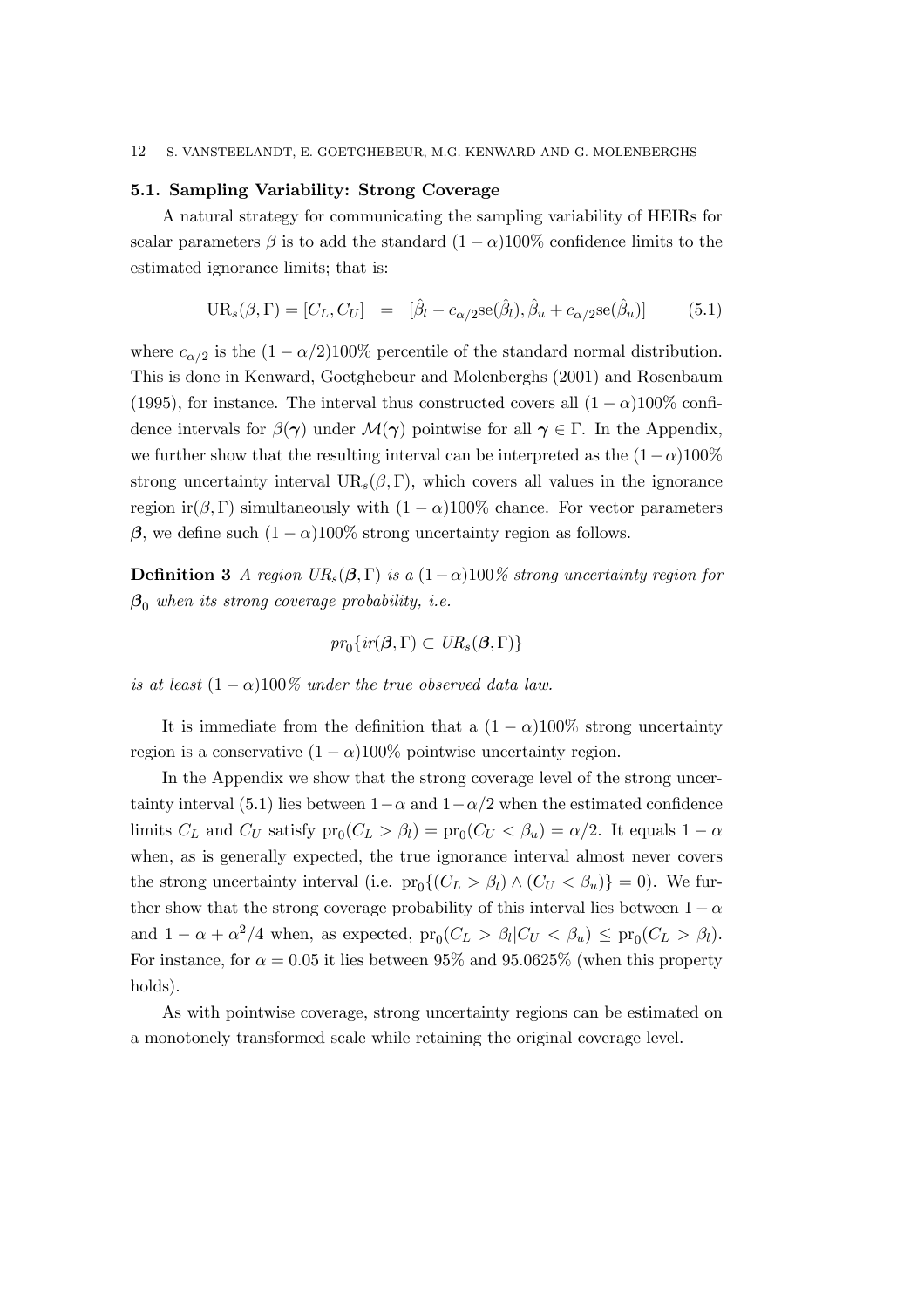#### 5.1. Sampling Variability: Strong Coverage

A natural strategy for communicating the sampling variability of HEIRs for scalar parameters  $\beta$  is to add the standard  $(1 - \alpha)100\%$  confidence limits to the estimated ignorance limits; that is:

$$
UR_s(\beta, \Gamma) = [C_L, C_U] = [\hat{\beta}_l - c_{\alpha/2} \text{se}(\hat{\beta}_l), \hat{\beta}_u + c_{\alpha/2} \text{se}(\hat{\beta}_u)] \tag{5.1}
$$

where  $c_{\alpha/2}$  is the  $(1 - \alpha/2)100\%$  percentile of the standard normal distribution. This is done in Kenward, Goetghebeur and Molenberghs (2001) and Rosenbaum (1995), for instance. The interval thus constructed covers all  $(1 - \alpha)100\%$  confidence intervals for  $\beta(\gamma)$  under  $\mathcal{M}(\gamma)$  pointwise for all  $\gamma \in \Gamma$ . In the Appendix, we further show that the resulting interval can be interpreted as the  $(1-\alpha)100\%$ strong uncertainty interval  $UR_s(\beta, \Gamma)$ , which covers all values in the ignorance region ir( $\beta$ , Γ) simultaneously with  $(1 - \alpha)100\%$  chance. For vector parameters β, we define such  $(1 - \alpha)100\%$  strong uncertainty region as follows.

**Definition 3** A region  $UR_s(\beta, \Gamma)$  is a  $(1-\alpha)100\%$  strong uncertainty region for  $\beta_0$  when its strong coverage probability, i.e.

$$
pr_0\{ir(\boldsymbol{\beta},\Gamma)\subset UR_s(\boldsymbol{\beta},\Gamma)\}\
$$

is at least  $(1 - \alpha)100\%$  under the true observed data law.

It is immediate from the definition that a  $(1 - \alpha)100\%$  strong uncertainty region is a conservative  $(1 - \alpha)100\%$  pointwise uncertainty region.

In the Appendix we show that the strong coverage level of the strong uncertainty interval (5.1) lies between  $1-\alpha$  and  $1-\alpha/2$  when the estimated confidence limits  $C_L$  and  $C_U$  satisfy  $pr_0(C_L > \beta_l) = pr_0(C_U < \beta_u) = \alpha/2$ . It equals  $1 - \alpha$ when, as is generally expected, the true ignorance interval almost never covers the strong uncertainty interval (i.e.  $pr_0\{(C_L > \beta_l) \wedge (C_U < \beta_u)\} = 0$ ). We further show that the strong coverage probability of this interval lies between  $1 - \alpha$ and  $1 - \alpha + \alpha^2/4$  when, as expected,  $pr_0(C_L > \beta_l | C_U < \beta_u) \leq pr_0(C_L > \beta_l)$ . For instance, for  $\alpha = 0.05$  it lies between 95% and 95.0625% (when this property holds).

As with pointwise coverage, strong uncertainty regions can be estimated on a monotonely transformed scale while retaining the original coverage level.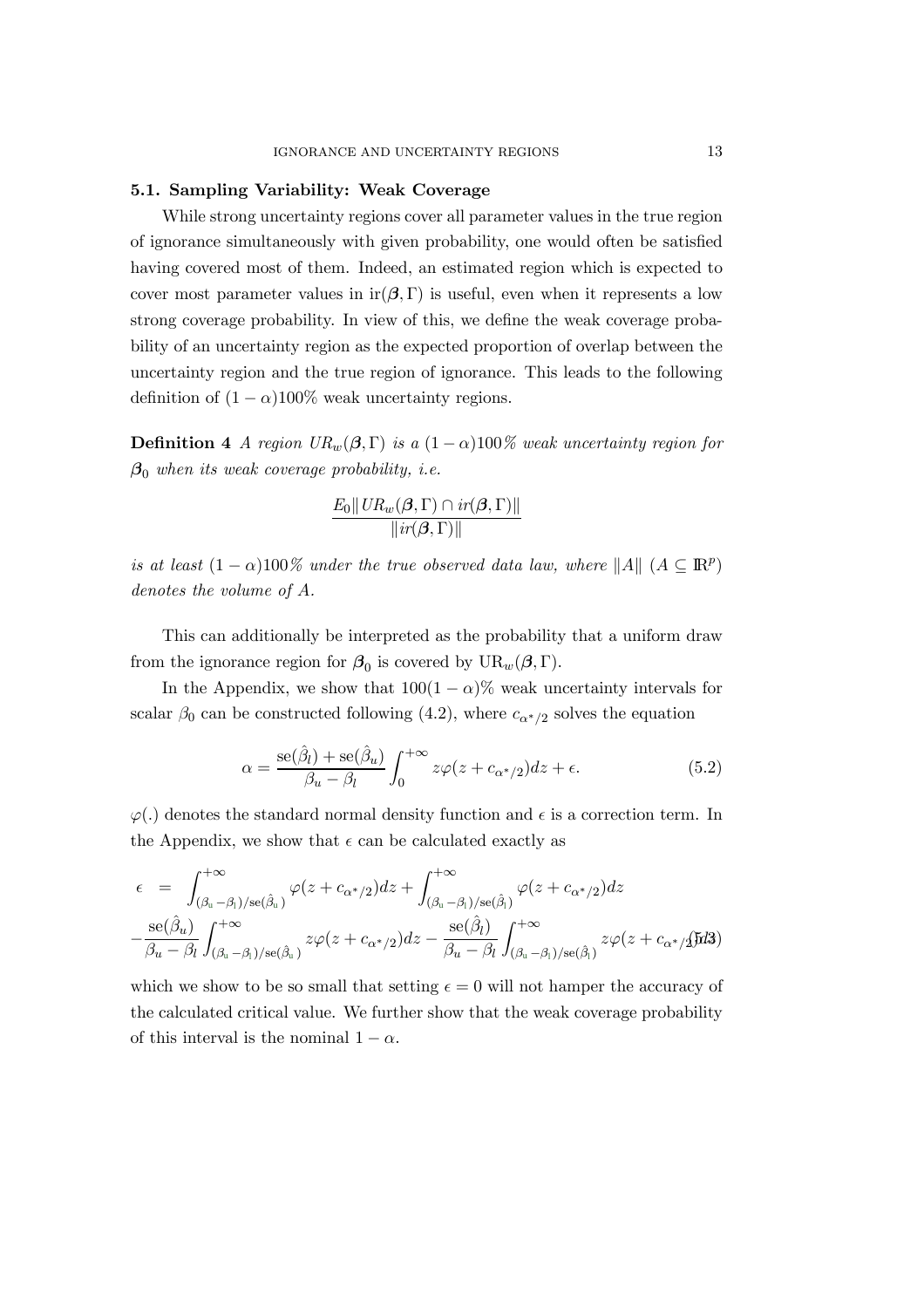#### 5.1. Sampling Variability: Weak Coverage

While strong uncertainty regions cover all parameter values in the true region of ignorance simultaneously with given probability, one would often be satisfied having covered most of them. Indeed, an estimated region which is expected to cover most parameter values in ir $(\beta, \Gamma)$  is useful, even when it represents a low strong coverage probability. In view of this, we define the weak coverage probability of an uncertainty region as the expected proportion of overlap between the uncertainty region and the true region of ignorance. This leads to the following definition of  $(1 - \alpha)100\%$  weak uncertainty regions.

**Definition 4** A region  $UR_w(\beta, \Gamma)$  is a  $(1 - \alpha)100\%$  weak uncertainty region for  $\beta_0$  when its weak coverage probability, i.e.

$$
\frac{E_0 \|\mathit{UR}_w(\beta,\Gamma) \cap \mathit{ir}(\beta,\Gamma)\|}{\|\mathit{ir}(\beta,\Gamma)\|}
$$

is at least  $(1 - \alpha)100\%$  under the true observed data law, where  $||A||$   $(A \subseteq \mathbb{R}^p)$ denotes the volume of A.

This can additionally be interpreted as the probability that a uniform draw from the ignorance region for  $\beta_0$  is covered by  $UR_w(\beta, \Gamma)$ .

In the Appendix, we show that  $100(1 - \alpha)\%$  weak uncertainty intervals for scalar  $\beta_0$  can be constructed following (4.2), where  $c_{\alpha^*/2}$  solves the equation

$$
\alpha = \frac{\text{se}(\hat{\beta}_l) + \text{se}(\hat{\beta}_u)}{\beta_u - \beta_l} \int_0^{+\infty} z\varphi(z + c_{\alpha^*/2}) dz + \epsilon.
$$
 (5.2)

 $\varphi(.)$  denotes the standard normal density function and  $\epsilon$  is a correction term. In the Appendix, we show that  $\epsilon$  can be calculated exactly as

$$
\epsilon = \int_{(\beta_{\mathrm{u}}-\beta_{\mathrm{l}})/\mathrm{se}(\hat{\beta}_{\mathrm{u}})}^{+\infty} \varphi(z+c_{\alpha^*/2}) dz + \int_{(\beta_{\mathrm{u}}-\beta_{\mathrm{l}})/\mathrm{se}(\hat{\beta}_{\mathrm{l}})}^{+\infty} \varphi(z+c_{\alpha^*/2}) dz
$$

$$
-\frac{\mathrm{se}(\hat{\beta}_{u})}{\beta_{u}-\beta_{l}} \int_{(\beta_{\mathrm{u}}-\beta_{\mathrm{l}})/\mathrm{se}(\hat{\beta}_{\mathrm{u}})}^{+\infty} z\varphi(z+c_{\alpha^*/2}) dz - \frac{\mathrm{se}(\hat{\beta}_{l})}{\beta_{u}-\beta_{l}} \int_{(\beta_{\mathrm{u}}-\beta_{\mathrm{l}})/\mathrm{se}(\hat{\beta}_{\mathrm{l}})}^{+\infty} z\varphi(z+c_{\alpha^*/2}) dz
$$

which we show to be so small that setting  $\epsilon = 0$  will not hamper the accuracy of the calculated critical value. We further show that the weak coverage probability of this interval is the nominal  $1 - \alpha$ .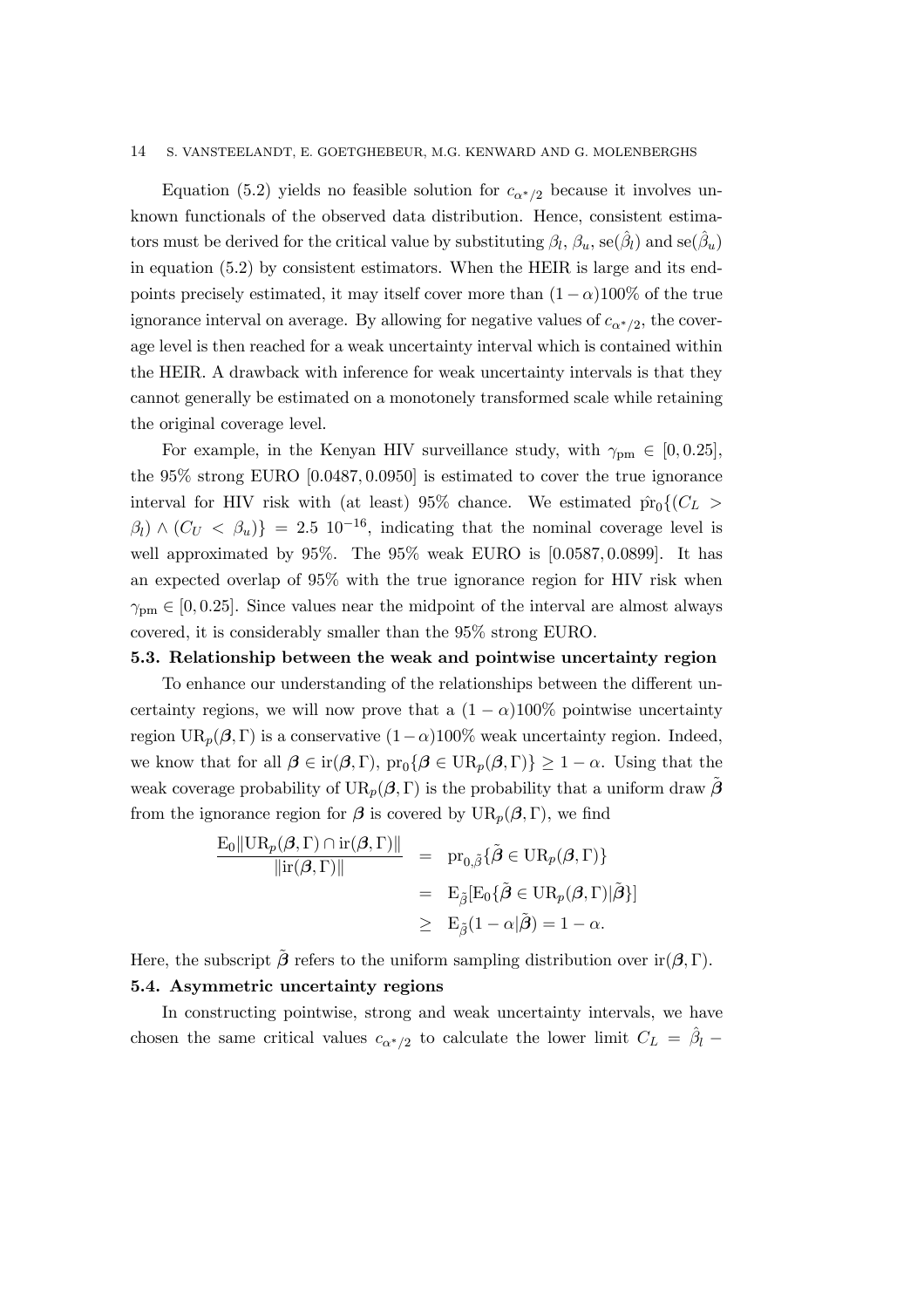Equation (5.2) yields no feasible solution for  $c_{\alpha^*/2}$  because it involves unknown functionals of the observed data distribution. Hence, consistent estimators must be derived for the critical value by substituting  $\beta_l$ ,  $\beta_u$ , se $(\beta_l)$  and se $(\beta_u)$ in equation (5.2) by consistent estimators. When the HEIR is large and its endpoints precisely estimated, it may itself cover more than  $(1 - \alpha)100\%$  of the true ignorance interval on average. By allowing for negative values of  $c_{\alpha^*/2}$ , the coverage level is then reached for a weak uncertainty interval which is contained within the HEIR. A drawback with inference for weak uncertainty intervals is that they cannot generally be estimated on a monotonely transformed scale while retaining the original coverage level.

For example, in the Kenyan HIV surveillance study, with  $\gamma_{\text{pm}} \in [0, 0.25]$ , the 95% strong EURO [0:0487; 0:0950] is estimated to cover the true ignorance interval for HIV risk with (at least) 95% chance. We estimated  $\hat{pr}_0\{(C_L >$  $\beta_l$ ) ∧ ( $C_U < \beta_u$ )} = 2.5 10<sup>-16</sup>, indicating that the nominal coverage level is well approximated by 95%. The 95% weak EURO is [0:0587; 0:0899]. It has an expected overlap of 95% with the true ignorance region for HIV risk when  $\gamma_{\text{pm}} \in [0, 0.25]$ . Since values near the midpoint of the interval are almost always covered, it is considerably smaller than the 95% strong EURO.

# 5.3. Relationship between the weak and pointwise uncertainty region

To enhance our understanding of the relationships between the different uncertainty regions, we will now prove that a  $(1 - \alpha)100\%$  pointwise uncertainty region  $UR_p(\beta, \Gamma)$  is a conservative  $(1-\alpha)100\%$  weak uncertainty region. Indeed, we know that for all  $\beta \in \text{ir}(\beta, \Gamma)$ ,  $\text{pr}_0\{\beta \in \text{UR}_p(\beta, \Gamma)\}\geq 1-\alpha$ . Using that the weak coverage probability of  $UR_p(\beta, \Gamma)$  is the probability that a uniform draw  $\beta$ from the ignorance region for  $\beta$  is covered by  $UR_p(\beta, \Gamma)$ , we find

$$
\frac{\mathrm{E}_0 \|\mathrm{UR}_p(\beta, \Gamma) \cap \mathrm{ir}(\beta, \Gamma)\|}{\|\mathrm{ir}(\beta, \Gamma)\|} = \mathrm{pr}_{0,\tilde{\beta}}\{\tilde{\beta} \in \mathrm{UR}_p(\beta, \Gamma)\}
$$
  

$$
= \mathrm{E}_{\tilde{\beta}}[\mathrm{E}_0\{\tilde{\beta} \in \mathrm{UR}_p(\beta, \Gamma)|\tilde{\beta}\}]
$$
  

$$
\geq \mathrm{E}_{\tilde{\beta}}(1-\alpha|\tilde{\beta}) = 1-\alpha.
$$

Here, the subscript  $\tilde{\beta}$  refers to the uniform sampling distribution over ir $(\beta, \Gamma)$ . 5.4. Asymmetric uncertainty regions

In constructing pointwise, strong and weak uncertainty intervals, we have chosen the same critical values  $c_{\alpha^*/2}$  to calculate the lower limit  $C_L = \hat{\beta}_l$  –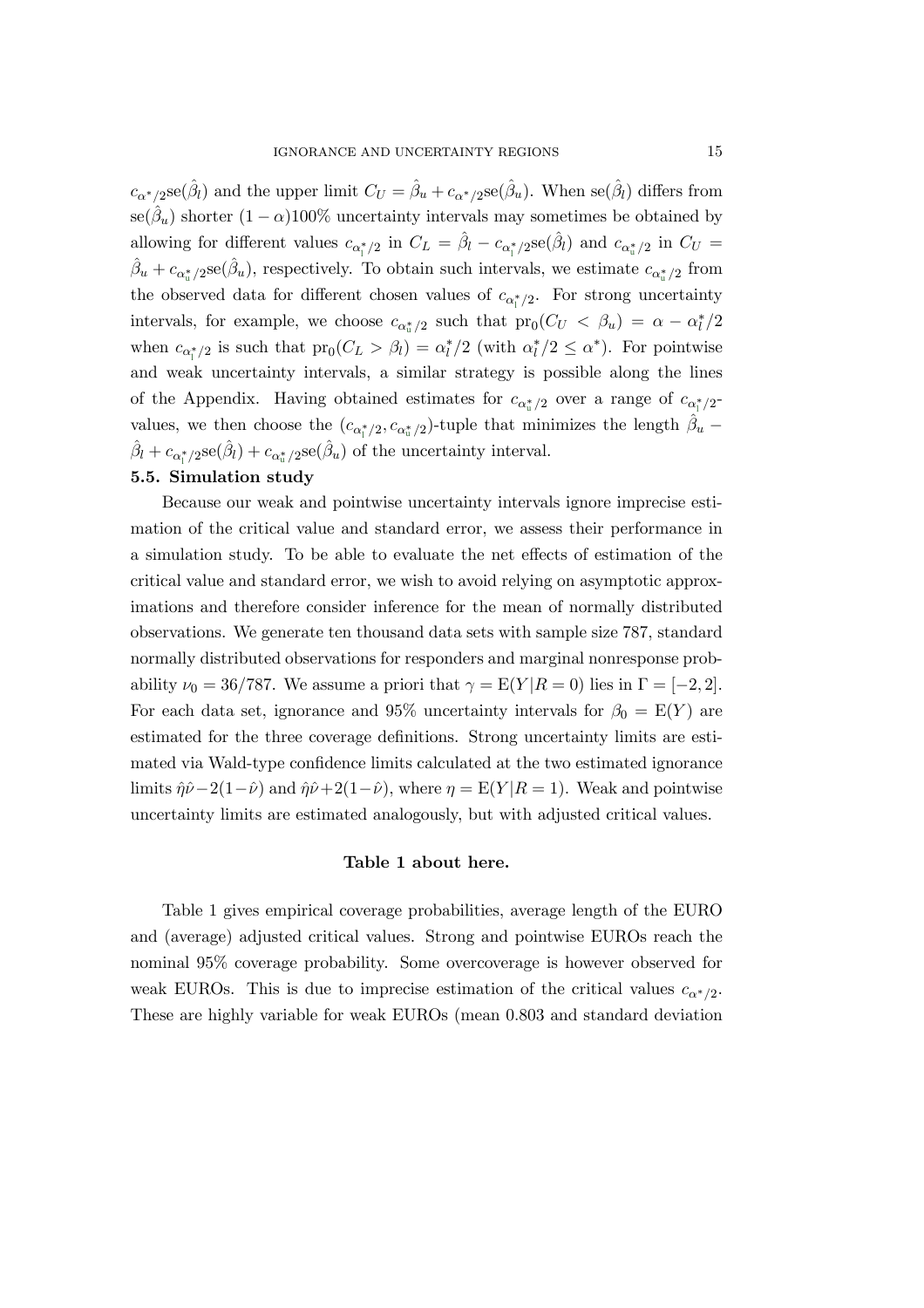$c_{\alpha^*/2}$ se $(\hat{\beta}_l)$  and the upper limit  $C_U = \hat{\beta}_u + c_{\alpha^*/2}$ se $(\hat{\beta}_u)$ . When se $(\hat{\beta}_l)$  differs from se( $\hat{\beta}_u$ ) shorter  $(1 - \alpha)100\%$  uncertainty intervals may sometimes be obtained by allowing for different values  $c_{\alpha_1^*/2}$  in  $C_L = \hat{\beta}_l - c_{\alpha_1^*/2}$ se $(\hat{\beta}_l)$  and  $c_{\alpha_1^*/2}$  in  $C_U =$  $\hat{\beta}_u + c_{\alpha_u^*/2}$ se $(\hat{\beta}_u)$ , respectively. To obtain such intervals, we estimate  $c_{\alpha_u^*/2}$  from the observed data for different chosen values of  $c_{\alpha^*_\parallel/2}$ . For strong uncertainty intervals, for example, we choose  $c_{\alpha_u^*/2}$  such that  $pr_0(C_U < \beta_u) = \alpha - \alpha_l^*/2$ when  $c_{\alpha_i^*/2}$  is such that  $pr_0(C_L > \beta_l) = \alpha_l^*/2$  (with  $\alpha_l^*/2 \le \alpha^*$ ). For pointwise and weak uncertainty intervals, a similar strategy is possible along the lines of the Appendix. Having obtained estimates for  $c_{\alpha_{\rm u}^*/2}$  over a range of  $c_{\alpha_{\rm l}^*/2}$ values, we then choose the  $(c_{\alpha_1^*/2}, c_{\alpha_u^*/2})$ -tuple that minimizes the length  $\hat{\beta}_u$  –  $\hat{\beta}_l + c_{\alpha_l^*/2}$ se $(\hat{\beta}_l) + c_{\alpha_u^*/2}$ se $(\hat{\beta}_u)$  of the uncertainty interval.

#### 5.5. Simulation study

Because our weak and pointwise uncertainty intervals ignore imprecise estimation of the critical value and standard error, we assess their performance in a simulation study. To be able to evaluate the net effects of estimation of the critical value and standard error, we wish to avoid relying on asymptotic approximations and therefore consider inference for the mean of normally distributed observations. We generate ten thousand data sets with sample size 787, standard normally distributed observations for responders and marginal nonresponse probability  $\nu_0 = 36/787$ . We assume a priori that  $\gamma = E(Y | R = 0)$  lies in  $\Gamma = [-2, 2]$ . For each data set, ignorance and 95% uncertainty intervals for  $\beta_0 = E(Y)$  are estimated for the three coverage definitions. Strong uncertainty limits are estimated via Wald-type confidence limits calculated at the two estimated ignorance limits  $\hat{\eta}\hat{\nu}-2(1-\hat{\nu})$  and  $\hat{\eta}\hat{\nu}+2(1-\hat{\nu})$ , where  $\eta = E(Y|R=1)$ . Weak and pointwise uncertainty limits are estimated analogously, but with adjusted critical values.

## Table 1 about here.

Table 1 gives empirical coverage probabilities, average length of the EURO and (average) adjusted critical values. Strong and pointwise EUROs reach the nominal 95% coverage probability. Some overcoverage is however observed for weak EUROs. This is due to imprecise estimation of the critical values  $c_{\alpha^*/2}$ . These are highly variable for weak EUROs (mean 0:803 and standard deviation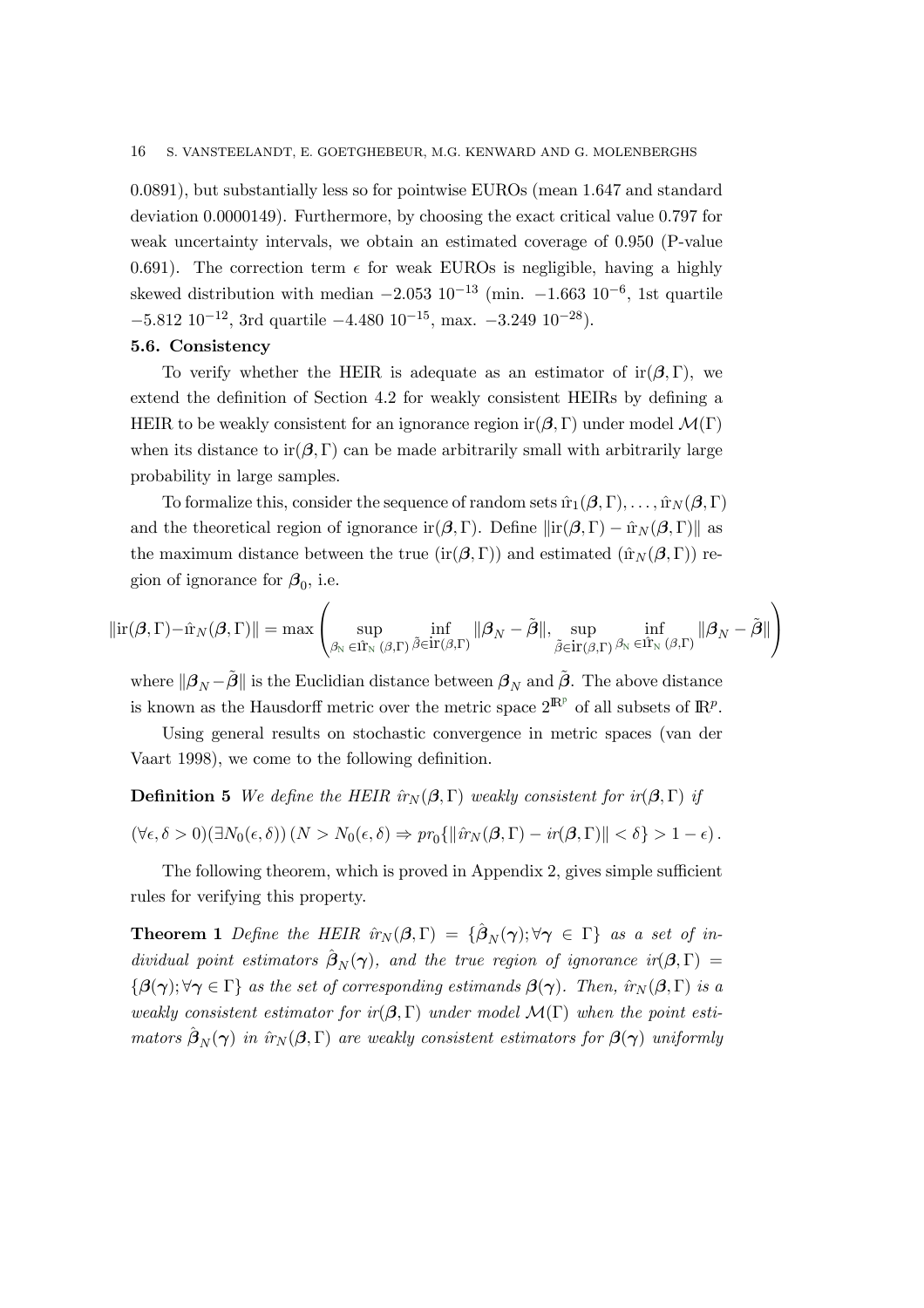0:0891), but substantially less so for pointwise EUROs (mean 1:647 and standard deviation 0:0000149). Furthermore, by choosing the exact critical value 0:797 for weak uncertainty intervals, we obtain an estimated coverage of 0:950 (P-value 0.691). The correction term  $\epsilon$  for weak EUROs is negligible, having a highly skewed distribution with median  $-2.053 \times 10^{-13}$  (min.  $-1.663 \times 10^{-6}$ , 1st quartile  $-5.812 \times 10^{-12}$ , 3rd quartile  $-4.480 \times 10^{-15}$ , max.  $-3.249 \times 10^{-28}$ ).

#### 5.6. Consistency

To verify whether the HEIR is adequate as an estimator of  $ir(\beta, \Gamma)$ , we extend the definition of Section 4.2 for weakly consistent HEIRs by defining a HEIR to be weakly consistent for an ignorance region ir $(\beta, \Gamma)$  under model  $\mathcal{M}(\Gamma)$ when its distance to ir $(\beta, \Gamma)$  can be made arbitrarily small with arbitrarily large probability in large samples.

To formalize this, consider the sequence of random sets  $\hat{\pi}_1(\beta, \Gamma), \ldots, \hat{\pi}_N(\beta, \Gamma)$ and the theoretical region of ignorance ir $(\beta, \Gamma)$ . Define  $\|\text{ir}(\beta, \Gamma) - \hat{\text{ir}}_N(\beta, \Gamma)\|$  as the maximum distance between the true (ir $(\beta, \Gamma)$ ) and estimated ( $\hat{\text{tr}}_{N}(\beta, \Gamma)$ ) region of ignorance for  $\beta_0$ , i.e.

$$
\|\text{ir}(\beta,\Gamma)-\hat{\text{ir}}_N(\beta,\Gamma)\|=\max\left(\sup_{\beta_N\in\hat{\text{ir}}_N(\beta,\Gamma)}\inf_{\tilde{\beta}\in\text{ir}(\beta,\Gamma)}\|\beta_N-\tilde{\beta}\|,\sup_{\tilde{\beta}\in\text{ir}(\beta,\Gamma)}\inf_{\beta_N\in\hat{\text{ir}}_N(\beta,\Gamma)}\|\beta_N-\tilde{\beta}\|\right)
$$

where  $\|\beta_N - \hat{\beta}\|$  is the Euclidian distance between  $\beta_N$  and  $\tilde{\beta}$ . The above distance is known as the Hausdorff metric over the metric space  $2^{\mathbb{R}^p}$  of all subsets of  $\mathbb{R}^p$ .

Using general results on stochastic convergence in metric spaces (van der Vaart 1998), we come to the following definition.

**Definition 5** We define the HEIR  $\hat{r}_N(\beta, \Gamma)$  weakly consistent for  $ir(\beta, \Gamma)$  if

$$
(\forall \epsilon, \delta > 0)(\exists N_0(\epsilon, \delta)) \left(N > N_0(\epsilon, \delta) \Rightarrow pr_0\{\|\hat{u}_N(\beta, \Gamma) - ir(\beta, \Gamma)\| < \delta\} > 1 - \epsilon\right).
$$

The following theorem, which is proved in Appendix 2, gives simple sufficient rules for verifying this property.

**Theorem 1** Define the HEIR  $\hat{u}_N(\beta, \Gamma) = {\hat{\beta}_N(\gamma)}; \forall \gamma \in \Gamma$  as a set of individual point estimators  $\hat{\boldsymbol{\beta}}_N(\boldsymbol{\gamma})$ , and the true region of ignorance  $ir(\boldsymbol{\beta}, \Gamma)$  =  $\{\beta(\gamma), \forall \gamma \in \Gamma\}$  as the set of corresponding estimands  $\beta(\gamma)$ . Then,  $\hat{r}_N(\beta, \Gamma)$  is a weakly consistent estimator for ir $(\beta, \Gamma)$  under model  $\mathcal{M}(\Gamma)$  when the point estimators  $\hat{\boldsymbol{\beta}}_N(\boldsymbol{\gamma})$  in  $\hat{r}_N(\boldsymbol{\beta}, \Gamma)$  are weakly consistent estimators for  $\boldsymbol{\beta}(\boldsymbol{\gamma})$  uniformly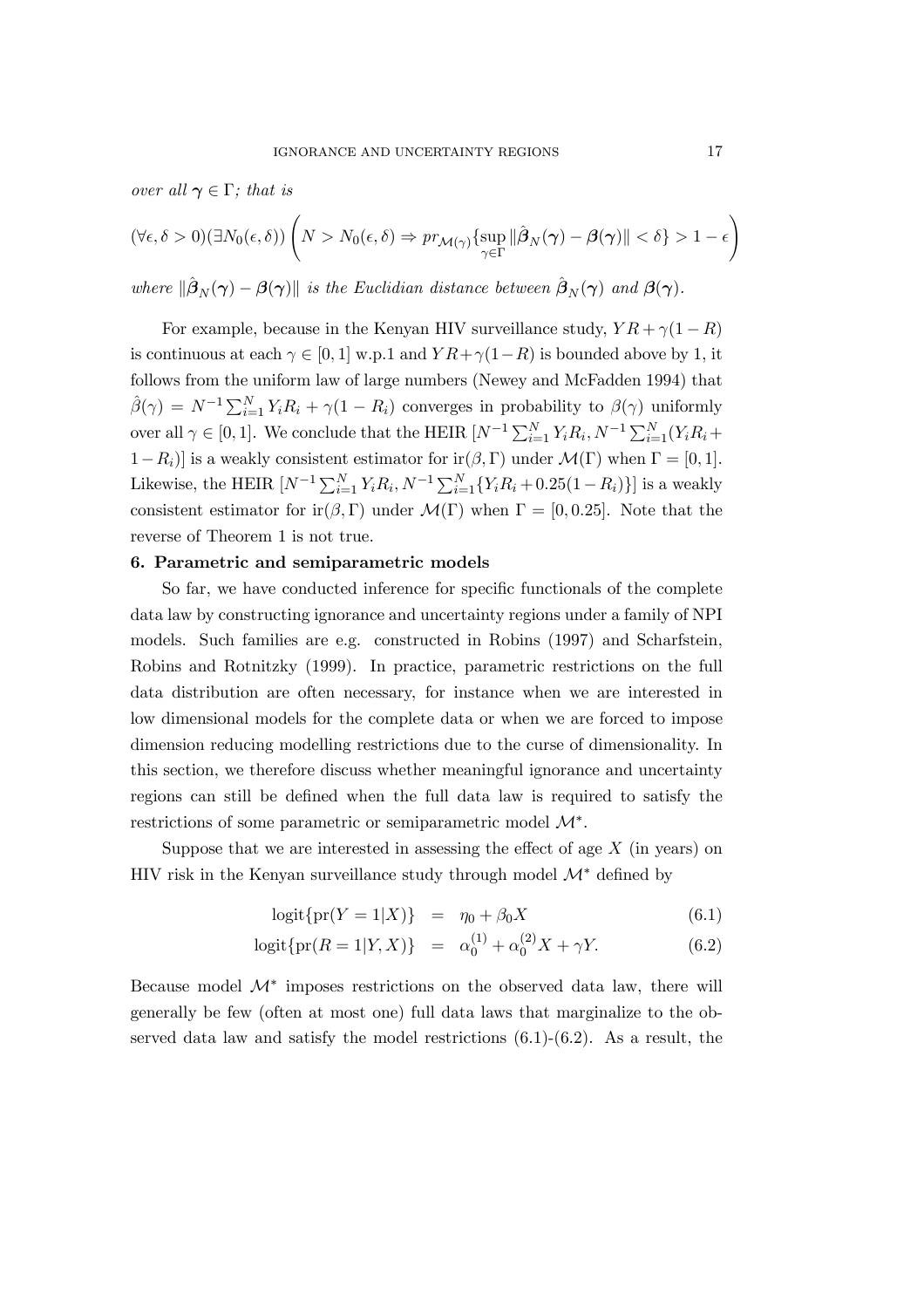over all  $\gamma \in \Gamma$ ; that is

$$
(\forall \epsilon, \delta > 0)(\exists N_0(\epsilon, \delta)) \left( N > N_0(\epsilon, \delta) \Rightarrow pr_{\mathcal{M}(\gamma)} \{\sup_{\gamma \in \Gamma} \|\hat{\beta}_N(\gamma) - \beta(\gamma)\| < \delta \} > 1 - \epsilon \right)
$$

where  $\|\hat{\beta}_N(\gamma) - \beta(\gamma)\|$  is the Euclidian distance between  $\hat{\beta}_N(\gamma)$  and  $\beta(\gamma)$ .

For example, because in the Kenyan HIV surveillance study,  $Y R + \gamma (1 - R)$ is continuous at each  $\gamma \in [0,1]$  w.p.1 and  $Y R + \gamma(1-R)$  is bounded above by 1, it follows from the uniform law of large numbers (Newey and McFadden 1994) that  $\hat{\beta}(\gamma) = N^{-1} \sum_{i=1}^{N} Y_i R_i + \gamma (1 - R_i)$  converges in probability to  $\beta(\gamma)$  uniformly over all  $\gamma \in [0, 1]$ . We conclude that the HEIR  $[N^{-1} \sum_{i=1}^{N} Y_i R_i, N^{-1} \sum_{i=1}^{N} (Y_i R_i +$  $1-R_i$ ] is a weakly consistent estimator for ir $(\beta, \Gamma)$  under  $\mathcal{M}(\Gamma)$  when  $\Gamma = [0, 1]$ . Likewise, the HEIR  $[N^{-1}\sum_{i=1}^{N}Y_iR_i, N^{-1}\sum_{i=1}^{N}\{Y_iR_i+0.25(1-R_i)\}]$  is a weakly consistent estimator for ir $(\beta, \Gamma)$  under  $\mathcal{M}(\Gamma)$  when  $\Gamma = [0, 0.25]$ . Note that the reverse of Theorem 1 is not true.

#### 6. Parametric and semiparametric models

So far, we have conducted inference for specific functionals of the complete data law by constructing ignorance and uncertainty regions under a family of NPI models. Such families are e.g. constructed in Robins (1997) and Scharfstein, Robins and Rotnitzky (1999). In practice, parametric restrictions on the full data distribution are often necessary, for instance when we are interested in low dimensional models for the complete data or when we are forced to impose dimension reducing modelling restrictions due to the curse of dimensionality. In this section, we therefore discuss whether meaningful ignorance and uncertainty regions can still be defined when the full data law is required to satisfy the restrictions of some parametric or semiparametric model M∗.

Suppose that we are interested in assessing the effect of age  $X$  (in years) on HIV risk in the Kenyan surveillance study through model  $\mathcal{M}^*$  defined by

$$
logit{{pr(Y = 1|X)} = \eta_0 + \beta_0 X \tag{6.1}
$$

$$
logit\{pr(R = 1|Y, X)\} = \alpha_0^{(1)} + \alpha_0^{(2)}X + \gamma Y.
$$
 (6.2)

Because model  $\mathcal{M}^*$  imposes restrictions on the observed data law, there will generally be few (often at most one) full data laws that marginalize to the observed data law and satisfy the model restrictions  $(6.1)-(6.2)$ . As a result, the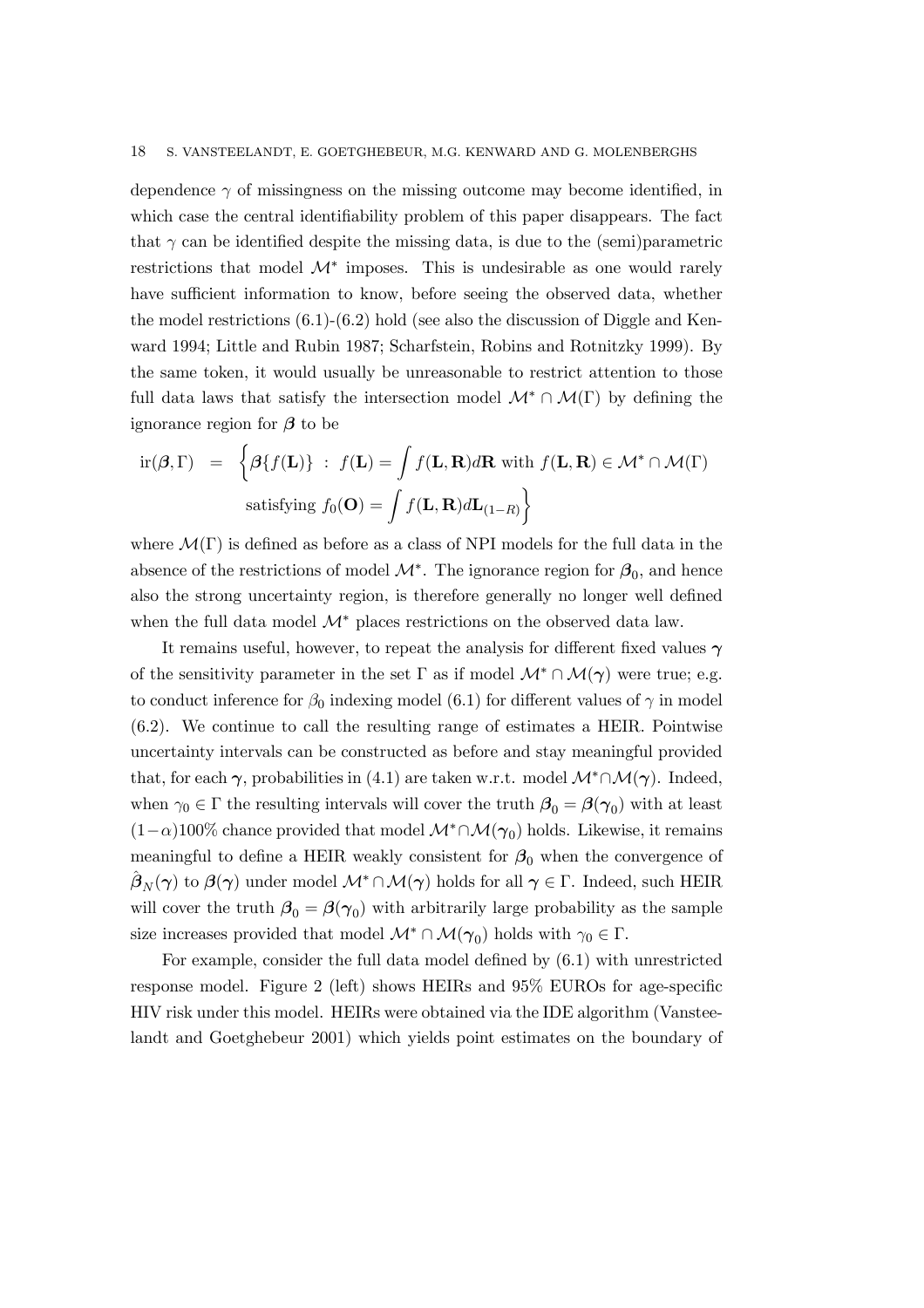dependence  $\gamma$  of missingness on the missing outcome may become identified, in which case the central identifiability problem of this paper disappears. The fact that  $\gamma$  can be identified despite the missing data, is due to the (semi)parametric restrictions that model  $\mathcal{M}^*$  imposes. This is undesirable as one would rarely have sufficient information to know, before seeing the observed data, whether the model restrictions  $(6.1)-(6.2)$  hold (see also the discussion of Diggle and Kenward 1994; Little and Rubin 1987; Scharfstein, Robins and Rotnitzky 1999). By the same token, it would usually be unreasonable to restrict attention to those full data laws that satisfy the intersection model  $\mathcal{M}^* \cap \mathcal{M}(\Gamma)$  by defining the ignorance region for  $\beta$  to be

$$
\text{ir}(\boldsymbol{\beta}, \Gamma) = \left\{ \boldsymbol{\beta} \{ f(\mathbf{L}) \} : f(\mathbf{L}) = \int f(\mathbf{L}, \mathbf{R}) d\mathbf{R} \text{ with } f(\mathbf{L}, \mathbf{R}) \in \mathcal{M}^* \cap \mathcal{M}(\Gamma) \right\}
$$
\n
$$
\text{satisfying } f_0(\mathbf{O}) = \int f(\mathbf{L}, \mathbf{R}) d\mathbf{L}_{(1-R)} \right\}
$$

where  $\mathcal{M}(\Gamma)$  is defined as before as a class of NPI models for the full data in the absence of the restrictions of model  $\mathcal{M}^*$ . The ignorance region for  $\beta_0$ , and hence also the strong uncertainty region, is therefore generally no longer well defined when the full data model  $\mathcal{M}^*$  places restrictions on the observed data law.

It remains useful, however, to repeat the analysis for different fixed values  $\gamma$ of the sensitivity parameter in the set  $\Gamma$  as if model  $\mathcal{M}^*\cap \mathcal{M}(\gamma)$  were true; e.g. to conduct inference for  $\beta_0$  indexing model (6.1) for different values of  $\gamma$  in model (6.2). We continue to call the resulting range of estimates a HEIR. Pointwise uncertainty intervals can be constructed as before and stay meaningful provided that, for each  $\gamma$ , probabilities in (4.1) are taken w.r.t. model  $\mathcal{M}^*\cap \mathcal{M}(\gamma)$ . Indeed, when  $\gamma_0 \in \Gamma$  the resulting intervals will cover the truth  $\beta_0 = \beta(\gamma_0)$  with at least  $(1-\alpha)100\%$  chance provided that model  $\mathcal{M}^*\cap \mathcal{M}(\gamma_0)$  holds. Likewise, it remains meaningful to define a HEIR weakly consistent for  $\beta_0$  when the convergence of  $\beta_N(\gamma)$  to  $\beta(\gamma)$  under model  $\mathcal{M}^*\cap\mathcal{M}(\gamma)$  holds for all  $\gamma\in\Gamma$ . Indeed, such HEIR will cover the truth  $\beta_0 = \beta(\gamma_0)$  with arbitrarily large probability as the sample size increases provided that model  $\mathcal{M}^* \cap \mathcal{M}(\gamma_0)$  holds with  $\gamma_0 \in \Gamma$ .

For example, consider the full data model defined by (6.1) with unrestricted response model. Figure 2 (left) shows HEIRs and 95% EUROs for age-specific HIV risk under this model. HEIRs were obtained via the IDE algorithm (Vansteelandt and Goetghebeur 2001) which yields point estimates on the boundary of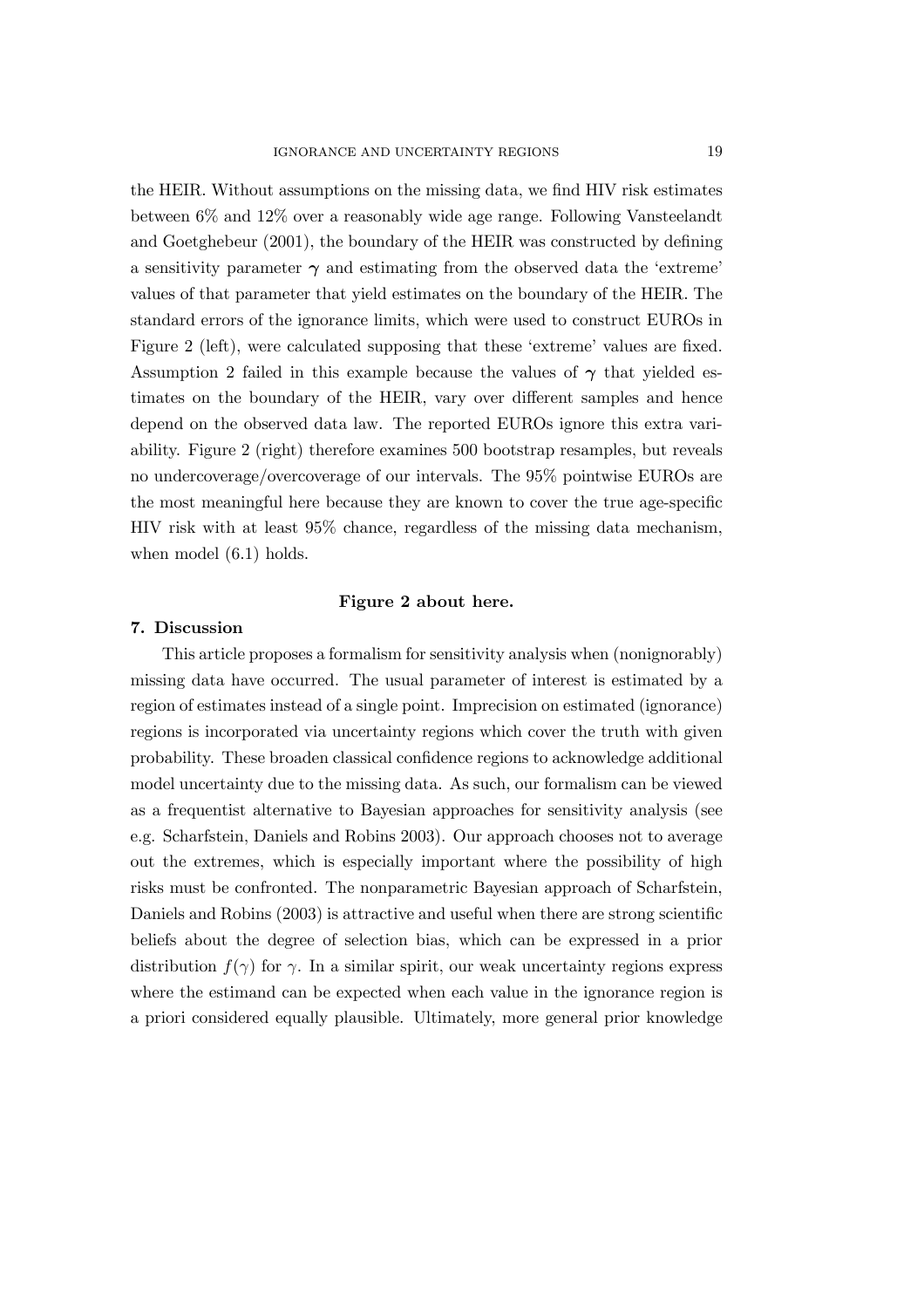the HEIR. Without assumptions on the missing data, we find HIV risk estimates between 6% and 12% over a reasonably wide age range. Following Vansteelandt and Goetghebeur (2001), the boundary of the HEIR was constructed by defining a sensitivity parameter  $\gamma$  and estimating from the observed data the 'extreme' values of that parameter that yield estimates on the boundary of the HEIR. The standard errors of the ignorance limits, which were used to construct EUROs in Figure 2 (left), were calculated supposing that these 'extreme' values are fixed. Assumption 2 failed in this example because the values of  $\gamma$  that yielded estimates on the boundary of the HEIR, vary over different samples and hence depend on the observed data law. The reported EUROs ignore this extra variability. Figure 2 (right) therefore examines 500 bootstrap resamples, but reveals no undercoverage/overcoverage of our intervals. The 95% pointwise EUROs are the most meaningful here because they are known to cover the true age-specific HIV risk with at least 95% chance, regardless of the missing data mechanism, when model  $(6.1)$  holds.

#### Figure 2 about here.

#### 7. Discussion

This article proposes a formalism for sensitivity analysis when (nonignorably) missing data have occurred. The usual parameter of interest is estimated by a region of estimates instead of a single point. Imprecision on estimated (ignorance) regions is incorporated via uncertainty regions which cover the truth with given probability. These broaden classical confidence regions to acknowledge additional model uncertainty due to the missing data. As such, our formalism can be viewed as a frequentist alternative to Bayesian approaches for sensitivity analysis (see e.g. Scharfstein, Daniels and Robins 2003). Our approach chooses not to average out the extremes, which is especially important where the possibility of high risks must be confronted. The nonparametric Bayesian approach of Scharfstein, Daniels and Robins (2003) is attractive and useful when there are strong scientific beliefs about the degree of selection bias, which can be expressed in a prior distribution  $f(\gamma)$  for  $\gamma$ . In a similar spirit, our weak uncertainty regions express where the estimand can be expected when each value in the ignorance region is a priori considered equally plausible. Ultimately, more general prior knowledge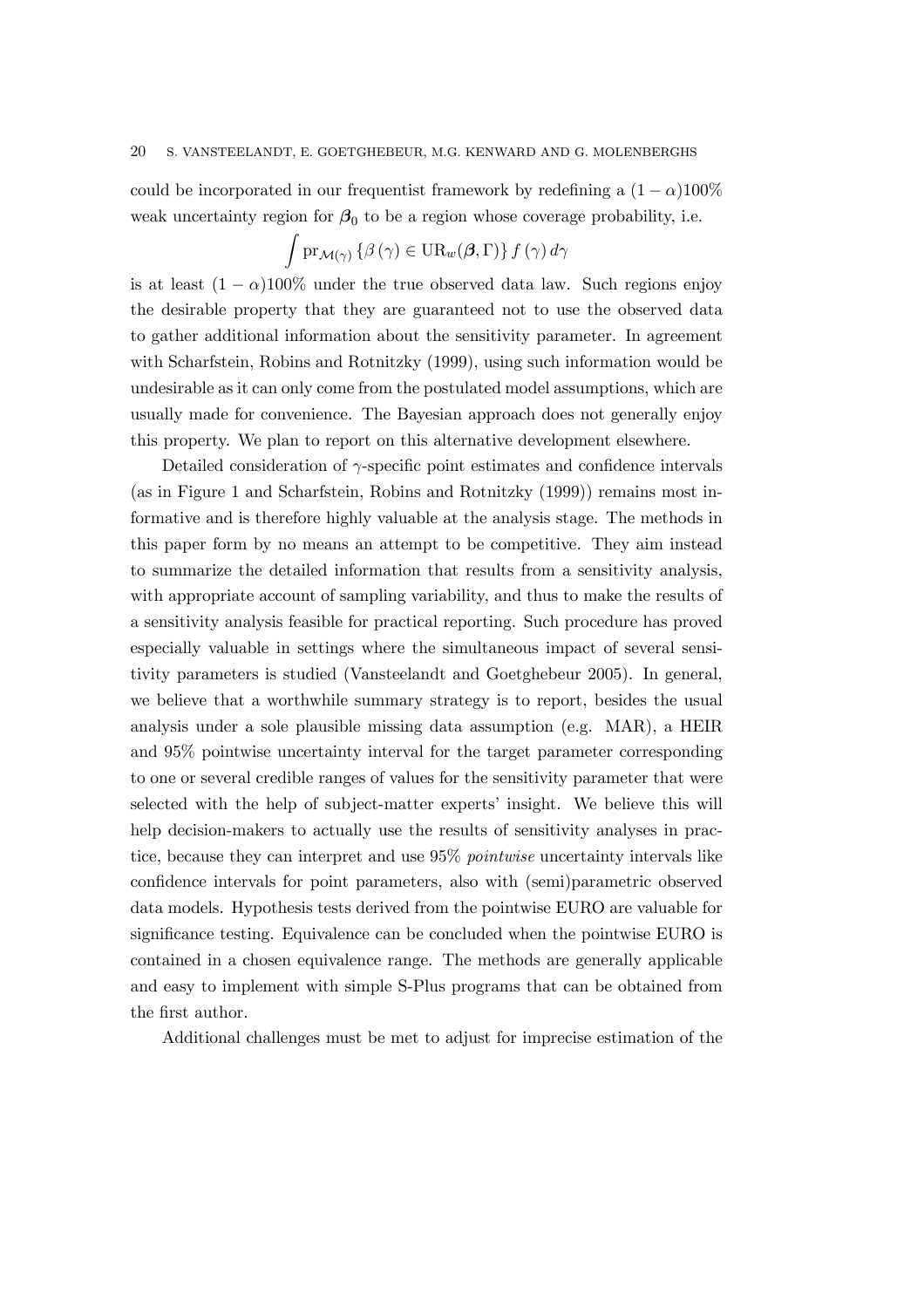could be incorporated in our frequentist framework by redefining a  $(1 - \alpha)100\%$ weak uncertainty region for  $\beta_0$  to be a region whose coverage probability, i.e.

$$
\int \mathrm{pr}_{\mathcal{M}(\gamma)} \left\{ \beta \left( \gamma \right) \in \mathrm{UR}_{w}(\beta, \Gamma) \right\} f \left( \gamma \right) d \gamma
$$

is at least  $(1 - \alpha)100\%$  under the true observed data law. Such regions enjoy the desirable property that they are guaranteed not to use the observed data to gather additional information about the sensitivity parameter. In agreement with Scharfstein, Robins and Rotnitzky (1999), using such information would be undesirable as it can only come from the postulated model assumptions, which are usually made for convenience. The Bayesian approach does not generally enjoy this property. We plan to report on this alternative development elsewhere.

Detailed consideration of  $\gamma$ -specific point estimates and confidence intervals (as in Figure 1 and Scharfstein, Robins and Rotnitzky (1999)) remains most informative and is therefore highly valuable at the analysis stage. The methods in this paper form by no means an attempt to be competitive. They aim instead to summarize the detailed information that results from a sensitivity analysis, with appropriate account of sampling variability, and thus to make the results of a sensitivity analysis feasible for practical reporting. Such procedure has proved especially valuable in settings where the simultaneous impact of several sensitivity parameters is studied (Vansteelandt and Goetghebeur 2005). In general, we believe that a worthwhile summary strategy is to report, besides the usual analysis under a sole plausible missing data assumption (e.g. MAR), a HEIR and 95% pointwise uncertainty interval for the target parameter corresponding to one or several credible ranges of values for the sensitivity parameter that were selected with the help of subject-matter experts' insight. We believe this will help decision-makers to actually use the results of sensitivity analyses in practice, because they can interpret and use 95% pointwise uncertainty intervals like confidence intervals for point parameters, also with (semi)parametric observed data models. Hypothesis tests derived from the pointwise EURO are valuable for significance testing. Equivalence can be concluded when the pointwise EURO is contained in a chosen equivalence range. The methods are generally applicable and easy to implement with simple S-Plus programs that can be obtained from the first author.

Additional challenges must be met to adjust for imprecise estimation of the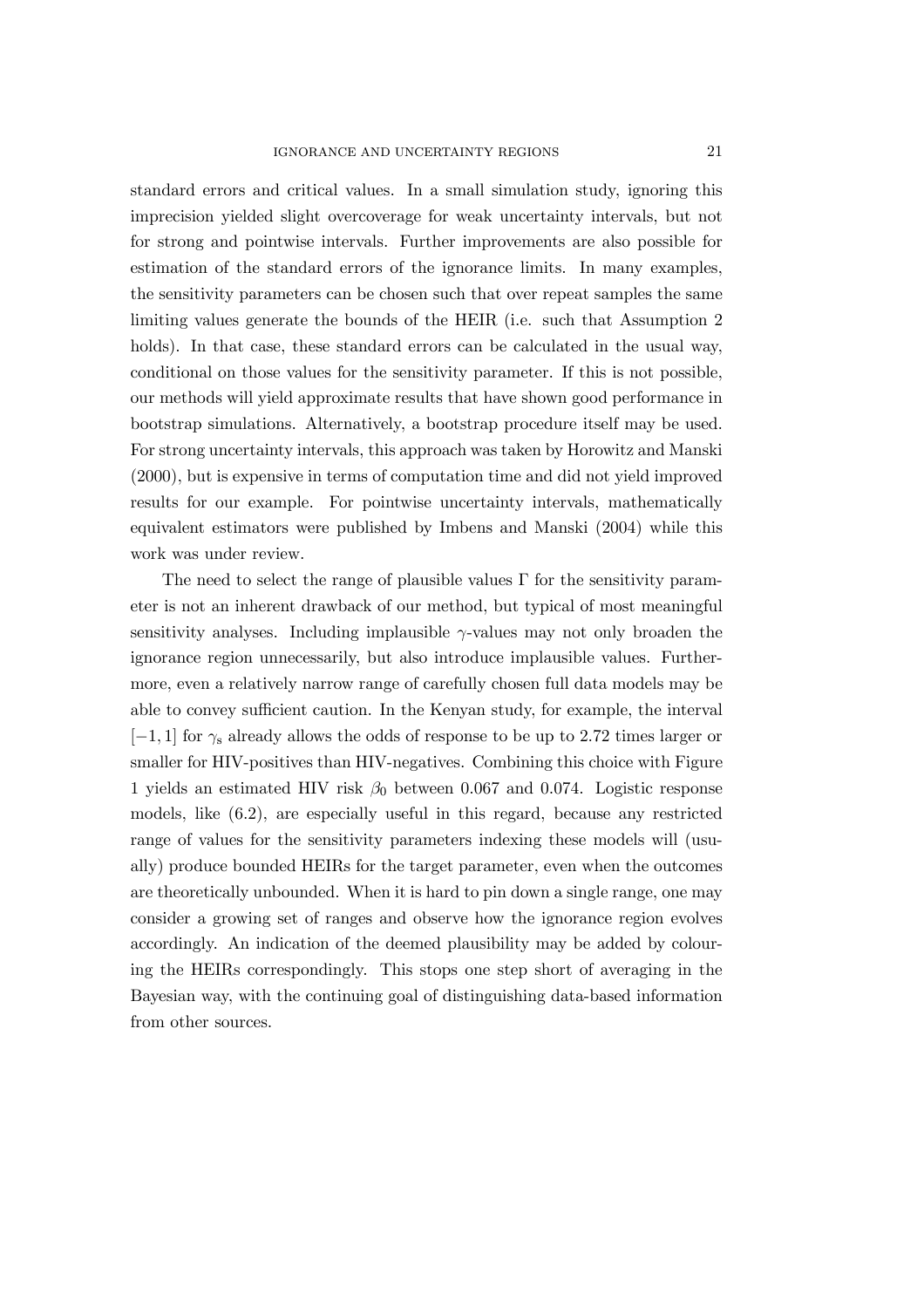standard errors and critical values. In a small simulation study, ignoring this imprecision yielded slight overcoverage for weak uncertainty intervals, but not for strong and pointwise intervals. Further improvements are also possible for estimation of the standard errors of the ignorance limits. In many examples, the sensitivity parameters can be chosen such that over repeat samples the same limiting values generate the bounds of the HEIR (i.e. such that Assumption 2 holds). In that case, these standard errors can be calculated in the usual way, conditional on those values for the sensitivity parameter. If this is not possible, our methods will yield approximate results that have shown good performance in bootstrap simulations. Alternatively, a bootstrap procedure itself may be used. For strong uncertainty intervals, this approach was taken by Horowitz and Manski (2000), but is expensive in terms of computation time and did not yield improved results for our example. For pointwise uncertainty intervals, mathematically equivalent estimators were published by Imbens and Manski (2004) while this work was under review.

The need to select the range of plausible values  $\Gamma$  for the sensitivity parameter is not an inherent drawback of our method, but typical of most meaningful sensitivity analyses. Including implausible  $\gamma$ -values may not only broaden the ignorance region unnecessarily, but also introduce implausible values. Furthermore, even a relatively narrow range of carefully chosen full data models may be able to convey sufficient caution. In the Kenyan study, for example, the interval  $[-1, 1]$  for  $\gamma_s$  already allows the odds of response to be up to 2.72 times larger or smaller for HIV-positives than HIV-negatives. Combining this choice with Figure 1 yields an estimated HIV risk  $\beta_0$  between 0.067 and 0.074. Logistic response models, like (6.2), are especially useful in this regard, because any restricted range of values for the sensitivity parameters indexing these models will (usually) produce bounded HEIRs for the target parameter, even when the outcomes are theoretically unbounded. When it is hard to pin down a single range, one may consider a growing set of ranges and observe how the ignorance region evolves accordingly. An indication of the deemed plausibility may be added by colouring the HEIRs correspondingly. This stops one step short of averaging in the Bayesian way, with the continuing goal of distinguishing data-based information from other sources.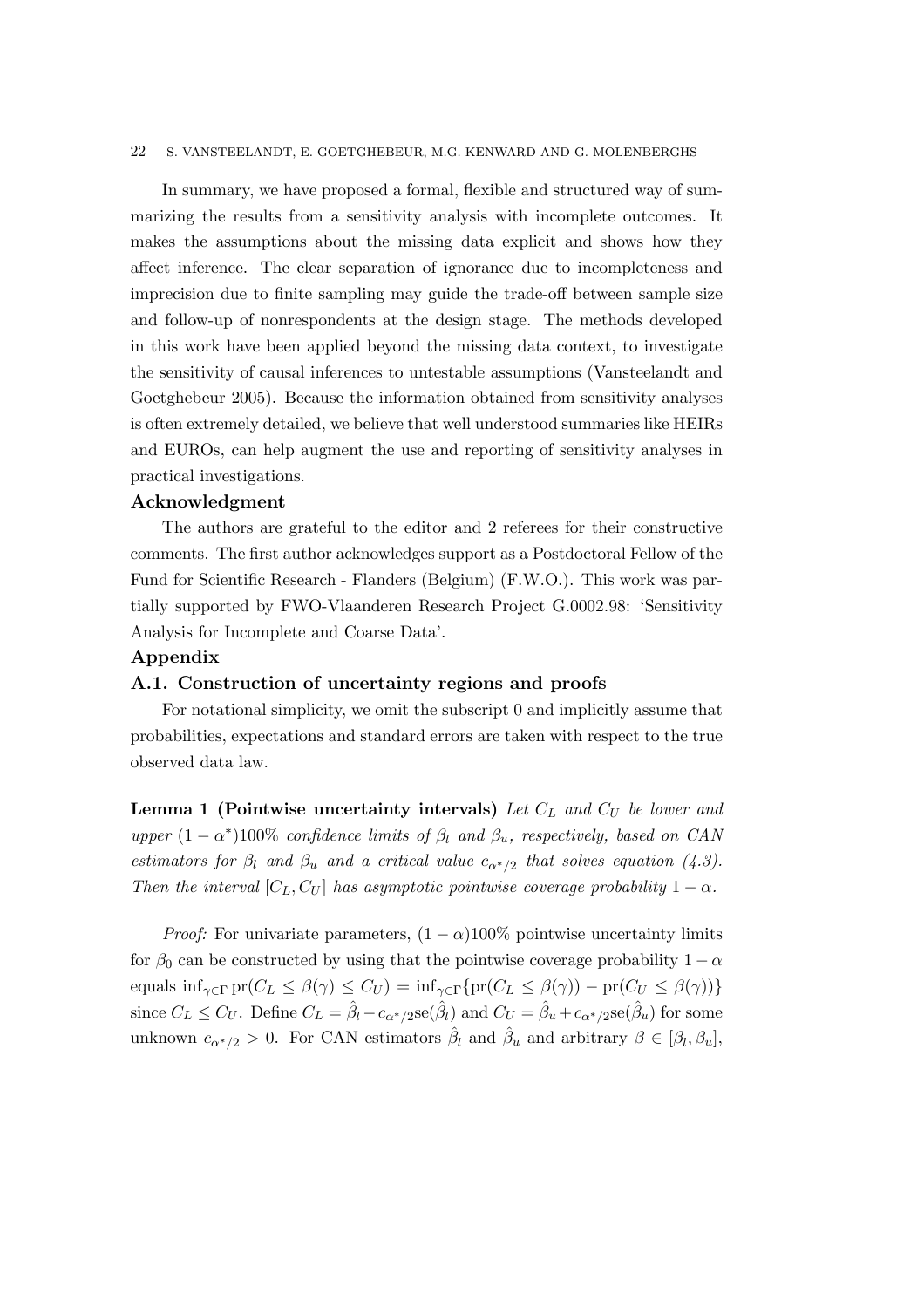In summary, we have proposed a formal, flexible and structured way of summarizing the results from a sensitivity analysis with incomplete outcomes. It makes the assumptions about the missing data explicit and shows how they affect inference. The clear separation of ignorance due to incompleteness and imprecision due to finite sampling may guide the trade-off between sample size and follow-up of nonrespondents at the design stage. The methods developed in this work have been applied beyond the missing data context, to investigate the sensitivity of causal inferences to untestable assumptions (Vansteelandt and Goetghebeur 2005). Because the information obtained from sensitivity analyses is often extremely detailed, we believe that well understood summaries like HEIRs and EUROs, can help augment the use and reporting of sensitivity analyses in practical investigations.

## Acknowledgment

The authors are grateful to the editor and 2 referees for their constructive comments. The first author acknowledges support as a Postdoctoral Fellow of the Fund for Scientific Research - Flanders (Belgium) (F.W.O.). This work was partially supported by FWO-Vlaanderen Research Project G.0002.98: 'Sensitivity Analysis for Incomplete and Coarse Data'.

#### Appendix

#### A.1. Construction of uncertainty regions and proofs

For notational simplicity, we omit the subscript 0 and implicitly assume that probabilities, expectations and standard errors are taken with respect to the true observed data law.

**Lemma 1 (Pointwise uncertainty intervals)** Let  $C<sub>L</sub>$  and  $C<sub>U</sub>$  be lower and upper  $(1 - \alpha^*)100\%$  confidence limits of  $\beta_l$  and  $\beta_u$ , respectively, based on CAN estimators for  $\beta_l$  and  $\beta_u$  and a critical value  $c_{\alpha^*/2}$  that solves equation (4.3). Then the interval  $[C_L, C_U]$  has asymptotic pointwise coverage probability  $1 - \alpha$ .

*Proof:* For univariate parameters,  $(1 - \alpha)100\%$  pointwise uncertainty limits for  $\beta_0$  can be constructed by using that the pointwise coverage probability  $1 - \alpha$ equals  $\inf_{\gamma \in \Gamma} \text{pr}(C_L \leq \beta(\gamma) \leq C_U) = \inf_{\gamma \in \Gamma} \{ \text{pr}(C_L \leq \beta(\gamma)) - \text{pr}(C_U \leq \beta(\gamma)) \}$ since  $C_L \leq C_U$ . Define  $C_L = \hat{\beta}_l - c_{\alpha^*/2}$ se $(\hat{\beta}_l)$  and  $C_U = \hat{\beta}_u + c_{\alpha^*/2}$ se $(\hat{\beta}_u)$  for some unknown  $c_{\alpha^*/2} > 0$ . For CAN estimators  $\hat{\beta}_l$  and  $\hat{\beta}_u$  and arbitrary  $\beta \in [\beta_l, \beta_u]$ ,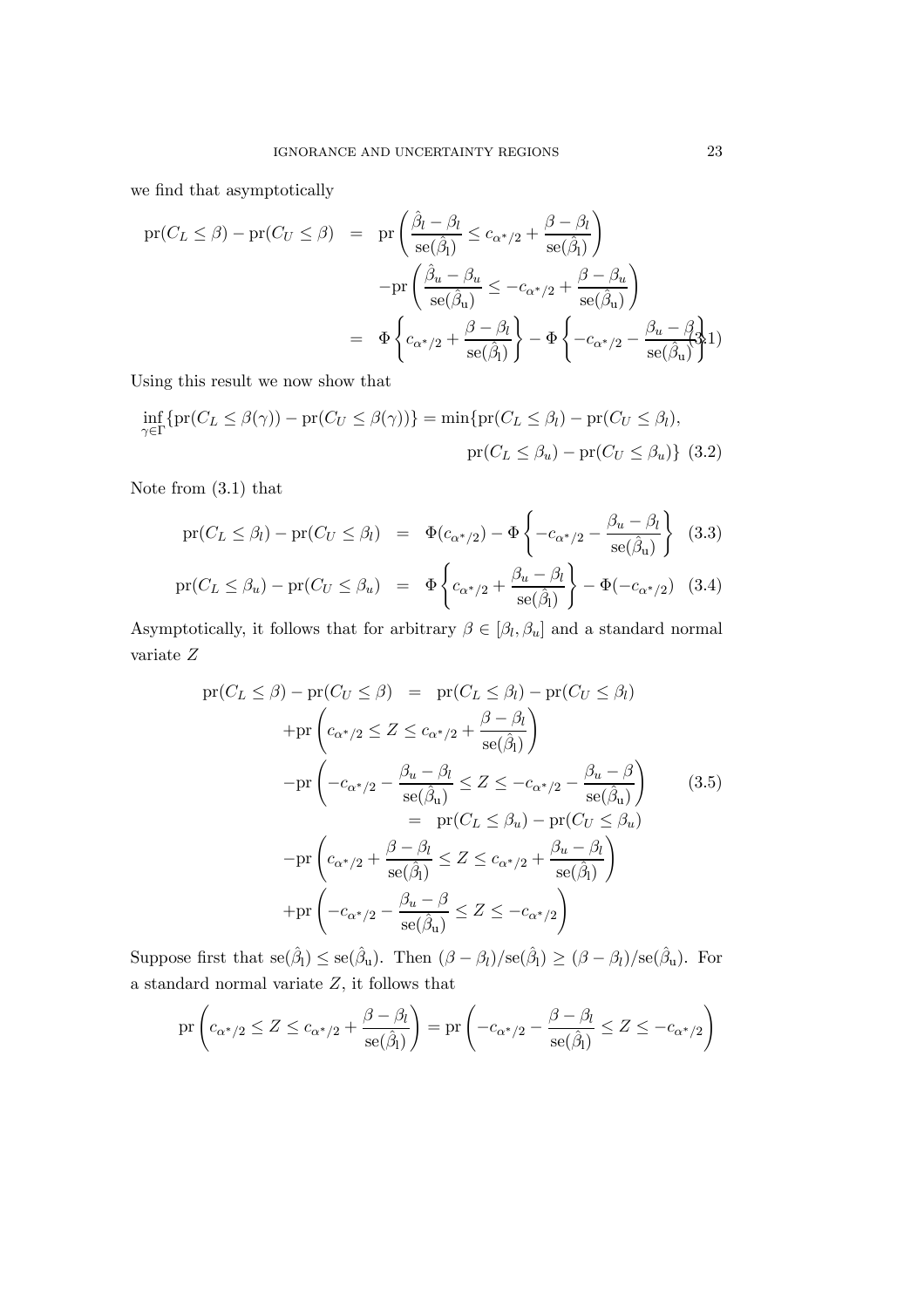we find that asymptotically

$$
\begin{array}{rcl}\n\text{pr}(C_L \leq \beta) - \text{pr}(C_U \leq \beta) & = & \text{pr}\left(\frac{\hat{\beta}_l - \beta_l}{\text{se}(\hat{\beta}_l)} \leq c_{\alpha^*/2} + \frac{\beta - \beta_l}{\text{se}(\hat{\beta}_l)}\right) \\
&- \text{pr}\left(\frac{\hat{\beta}_u - \beta_u}{\text{se}(\hat{\beta}_u)} \leq -c_{\alpha^*/2} + \frac{\beta - \beta_u}{\text{se}(\hat{\beta}_u)}\right) \\
& = & \Phi \left\{c_{\alpha^*/2} + \frac{\beta - \beta_l}{\text{se}(\hat{\beta}_l)}\right\} - \Phi \left\{-c_{\alpha^*/2} - \frac{\beta_u - \beta_l}{\text{se}(\hat{\beta}_u)}\right\}\n\end{array}
$$

Using this result we now show that

$$
\inf_{\gamma \in \Gamma} \{ \text{pr}(C_L \le \beta(\gamma)) - \text{pr}(C_U \le \beta(\gamma)) \} = \min \{ \text{pr}(C_L \le \beta_l) - \text{pr}(C_U \le \beta_l),
$$

$$
\text{pr}(C_L \le \beta_u) - \text{pr}(C_U \le \beta_u) \} (3.2)
$$

Note from (3.1) that

$$
\text{pr}(C_L \le \beta_l) - \text{pr}(C_U \le \beta_l) = \Phi(c_{\alpha^*/2}) - \Phi\left\{-c_{\alpha^*/2} - \frac{\beta_u - \beta_l}{\text{se}(\hat{\beta}_u)}\right\} (3.3)
$$

$$
\text{pr}(C_L \le \beta_u) - \text{pr}(C_U \le \beta_u) = \Phi\left\{c_{\alpha^*/2} + \frac{\beta_u - \beta_l}{\text{se}(\hat{\beta}_l)}\right\} - \Phi(-c_{\alpha^*/2}) \quad (3.4)
$$

Asymptotically, it follows that for arbitrary  $\beta \in [\beta_l,\beta_u]$  and a standard normal variate Z

$$
pr(C_L \le \beta) - pr(C_U \le \beta) = pr(C_L \le \beta_l) - pr(C_U \le \beta_l)
$$
  
+
$$
pr\left(c_{\alpha^*/2} \le Z \le c_{\alpha^*/2} + \frac{\beta - \beta_l}{se(\hat{\beta}_l)}\right)
$$
  
-
$$
-pr\left(-c_{\alpha^*/2} - \frac{\beta_u - \beta_l}{se(\hat{\beta}_u)} \le Z \le -c_{\alpha^*/2} - \frac{\beta_u - \beta}{se(\hat{\beta}_u)}\right) = pr(C_L \le \beta_u) - pr(C_U \le \beta_u)
$$
  
-
$$
-pr\left(c_{\alpha^*/2} + \frac{\beta - \beta_l}{se(\hat{\beta}_l)} \le Z \le c_{\alpha^*/2} + \frac{\beta_u - \beta_l}{se(\hat{\beta}_l)}\right)
$$
  
+
$$
pr\left(-c_{\alpha^*/2} - \frac{\beta_u - \beta}{se(\hat{\beta}_u)} \le Z \le -c_{\alpha^*/2}\right)
$$
(3.5)

Suppose first that  $se(\hat{\beta}_l) \leq se(\hat{\beta}_u)$ . Then  $(\beta - \beta_l)/se(\hat{\beta}_l) \geq (\beta - \beta_l)/se(\hat{\beta}_u)$ . For a standard normal variate  $\boldsymbol{Z},$  it follows that

$$
\mathrm{pr}\left(c_{\alpha^*/2} \leq Z \leq c_{\alpha^*/2} + \frac{\beta - \beta_l}{\mathrm{se}(\hat{\beta}_l)}\right) = \mathrm{pr}\left(-c_{\alpha^*/2} - \frac{\beta - \beta_l}{\mathrm{se}(\hat{\beta}_l)} \leq Z \leq -c_{\alpha^*/2}\right)
$$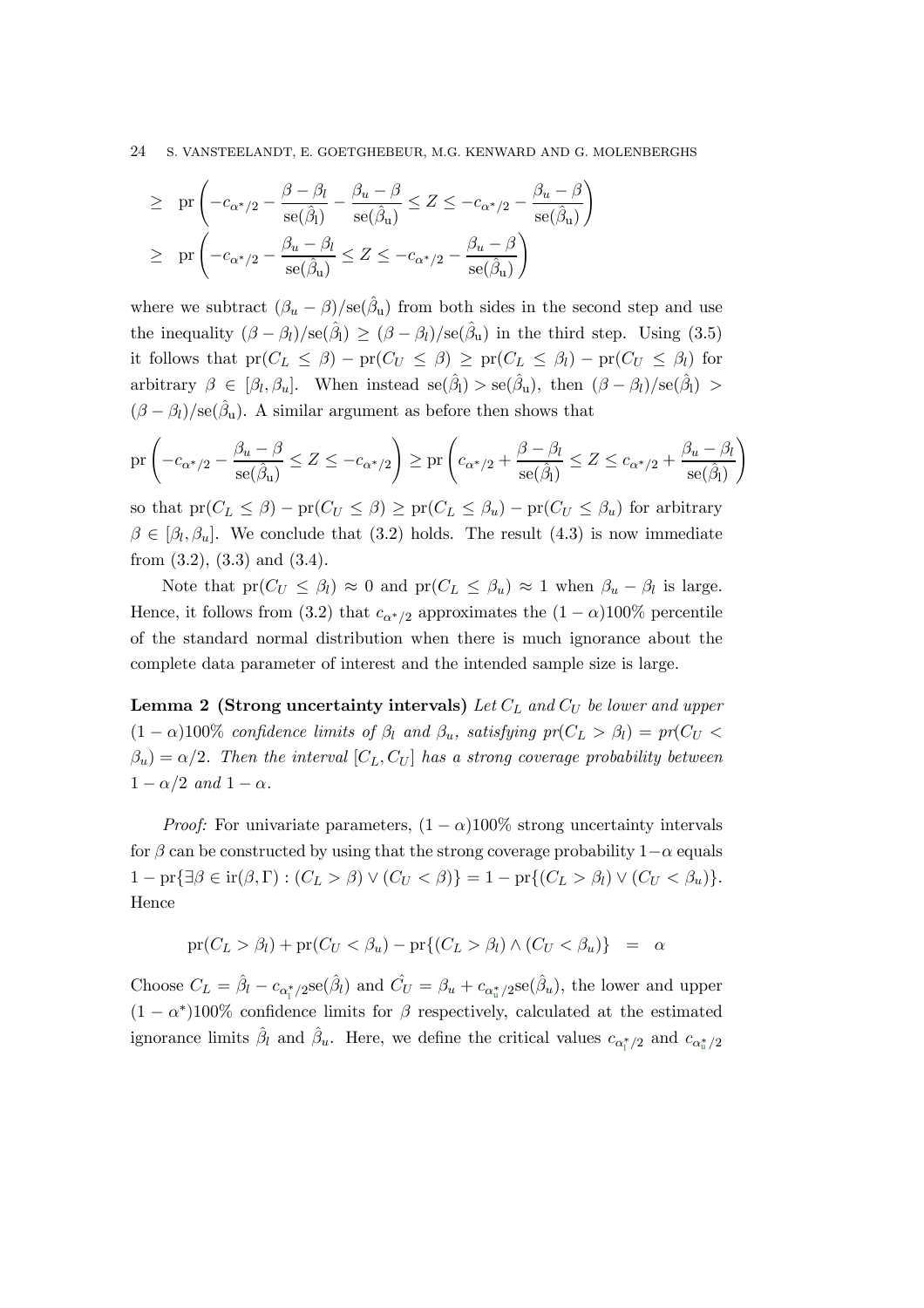$$
\begin{array}{lcl} \geq & \mathrm{pr} \left( - c_{\alpha^*/2} - \dfrac{\beta - \beta_l}{\mathrm{se}(\hat{\beta}_l)} - \dfrac{\beta_u - \beta}{\mathrm{se}(\hat{\beta}_u)} \leq Z \leq - c_{\alpha^*/2} - \dfrac{\beta_u - \beta}{\mathrm{se}(\hat{\beta}_u)} \right) \\ \\ & \geq & \mathrm{pr} \left( - c_{\alpha^*/2} - \dfrac{\beta_u - \beta_l}{\mathrm{se}(\hat{\beta}_u)} \leq Z \leq - c_{\alpha^*/2} - \dfrac{\beta_u - \beta}{\mathrm{se}(\hat{\beta}_u)} \right) \end{array}
$$

where we subtract  $(\beta_u - \beta)/\text{se}(\hat{\beta}_u)$  from both sides in the second step and use the inequality  $(\beta - \beta_l)/se(\hat{\beta}_l) \geq (\beta - \beta_l)/se(\hat{\beta}_u)$  in the third step. Using (3.5) it follows that  $pr(C_L \leq \beta) - pr(C_U \leq \beta) \geq pr(C_L \leq \beta_l) - pr(C_U \leq \beta_l)$  for arbitrary  $\beta \in [\beta_l, \beta_u]$ . When instead se $(\hat{\beta}_l) >$  se $(\hat{\beta}_u)$ , then  $(\beta - \beta_l)/\text{se}(\hat{\beta}_l) >$  $(\beta - \beta_l)/\text{se}(\hat{\beta}_u)$ . A similar argument as before then shows that

$$
\mathrm{pr}\left(-c_{\alpha^*/2} - \frac{\beta_u - \beta}{\mathrm{se}(\hat{\beta}_u)} \le Z \le -c_{\alpha^*/2}\right) \ge \mathrm{pr}\left(c_{\alpha^*/2} + \frac{\beta - \beta_l}{\mathrm{se}(\hat{\beta}_l)} \le Z \le c_{\alpha^*/2} + \frac{\beta_u - \beta_l}{\mathrm{se}(\hat{\beta}_l)}\right)
$$

so that  $pr(C_L \leq \beta) - pr(C_U \leq \beta) \geq pr(C_L \leq \beta_u) - pr(C_U \leq \beta_u)$  for arbitrary  $\beta \in [\beta_l, \beta_u]$ . We conclude that (3.2) holds. The result (4.3) is now immediate from  $(3.2)$ ,  $(3.3)$  and  $(3.4)$ .

Note that  $pr(C_U \leq \beta_l) \approx 0$  and  $pr(C_L \leq \beta_u) \approx 1$  when  $\beta_u - \beta_l$  is large. Hence, it follows from (3.2) that  $c_{\alpha^*/2}$  approximates the  $(1 - \alpha)100\%$  percentile of the standard normal distribution when there is much ignorance about the complete data parameter of interest and the intended sample size is large.

**Lemma 2 (Strong uncertainty intervals)** Let  $C_L$  and  $C_U$  be lower and upper  $(1 - \alpha)100\%$  confidence limits of  $\beta_l$  and  $\beta_u$ , satisfying  $pr(C_L > \beta_l) = pr(C_U <$  $\beta_u$ ) =  $\alpha/2$ . Then the interval  $[C_L, C_U]$  has a strong coverage probability between  $1 - \alpha/2$  and  $1 - \alpha$ .

*Proof:* For univariate parameters,  $(1 - \alpha)100\%$  strong uncertainty intervals for  $\beta$  can be constructed by using that the strong coverage probability  $1-\alpha$  equals  $1 - \text{pr}\{\exists \beta \in \text{ir}(\beta, \Gamma): (C_L > \beta) \vee (C_U < \beta)\} = 1 - \text{pr}\{(C_L > \beta_l) \vee (C_U < \beta_u)\}.$ Hence

$$
\text{pr}(C_L > \beta_l) + \text{pr}(C_U < \beta_u) - \text{pr}\{(C_L > \beta_l) \land (C_U < \beta_u)\} = \alpha
$$

Choose  $C_L = \hat{\beta}_l - c_{\alpha_l^*/2}$ se $(\hat{\beta}_l)$  and  $\hat{C}_U = \beta_u + c_{\alpha_u^*/2}$ se $(\hat{\beta}_u)$ , the lower and upper  $(1 - \alpha^*)100\%$  confidence limits for  $\beta$  respectively, calculated at the estimated ignorance limits  $\hat{\beta}_l$  and  $\hat{\beta}_u$ . Here, we define the critical values  $c_{\alpha_l^*/2}$  and  $c_{\alpha_u^*/2}$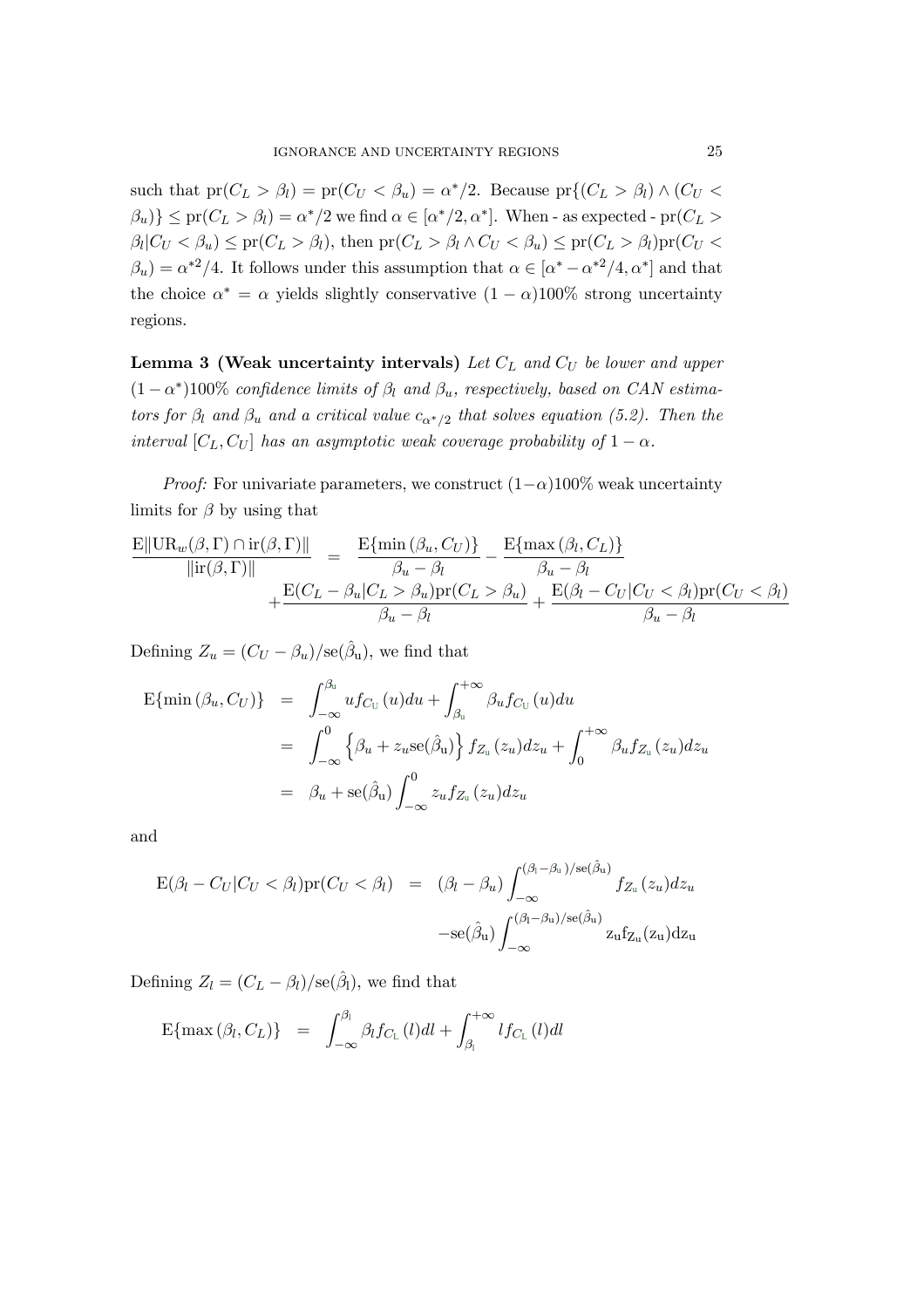such that  $pr(C_L > \beta_l) = pr(C_U < \beta_u) = \alpha^*/2$ . Because  $pr\{(C_L > \beta_l) \wedge (C_U < \beta_u)\}$  $\{\beta_u\}\leq \text{pr}(C_L > \beta_l) = \alpha^*/2$  we find  $\alpha \in [\alpha^*/2, \alpha^*]$ . When - as expected - pr $(C_L > \alpha^*)$  $\beta_l|C_U < \beta_u$ )  $\leq$  pr $(C_L > \beta_l)$ , then pr $(C_L > \beta_l \wedge C_U < \beta_u)$   $\leq$  pr $(C_L > \beta_l)$ pr $(C_U <$  $\beta_u$ ) =  $\alpha^{*2}/4$ . It follows under this assumption that  $\alpha \in [\alpha^* - \alpha^{*2}/4, \alpha^*]$  and that the choice  $\alpha^* = \alpha$  yields slightly conservative  $(1 - \alpha)100\%$  strong uncertainty regions.

**Lemma 3 (Weak uncertainty intervals)** Let  $C_L$  and  $C_U$  be lower and upper  $(1 - \alpha^*)100\%$  confidence limits of  $\beta_l$  and  $\beta_u$ , respectively, based on CAN estimators for  $\beta_l$  and  $\beta_u$  and a critical value  $c_{\alpha^*/2}$  that solves equation (5.2). Then the interval  $[C_L, C_U]$  has an asymptotic weak coverage probability of  $1 - \alpha$ .

*Proof:* For univariate parameters, we construct  $(1-\alpha)100\%$  weak uncertainty limits for  $\beta$  by using that

$$
\frac{\mathbf{E}||\mathrm{UR}_{w}(\beta,\Gamma)\cap\mathrm{ir}(\beta,\Gamma)||}{\|\mathrm{ir}(\beta,\Gamma)\|} = \frac{\mathbf{E}\{\min(\beta_{u},C_{U})\}}{\beta_{u}-\beta_{l}} - \frac{\mathbf{E}\{\max(\beta_{l},C_{L})\}}{\beta_{u}-\beta_{l}} + \frac{\mathbf{E}(C_{L}-\beta_{u}|C_{L}>\beta_{u})\mathrm{pr}(C_{L}>\beta_{u})}{\beta_{u}-\beta_{l}} + \frac{\mathbf{E}(\beta_{l}-C_{U}|C_{U}<\beta_{l})\mathrm{pr}(C_{U}<\beta_{l})}{\beta_{u}-\beta_{l}}
$$

Defining  $Z_u = (C_U - \beta_u)/\text{se}(\hat{\beta}_u)$ , we find that

$$
\begin{aligned} \mathcal{E}\{\min\left(\beta_{u},C_{U}\right)\} &= \int_{-\infty}^{\beta_{u}} u f_{C_{U}}(u) du + \int_{\beta_{u}}^{+\infty} \beta_{u} f_{C_{U}}(u) du \\ &= \int_{-\infty}^{0} \left\{\beta_{u} + z_{u} \text{se}(\hat{\beta}_{u})\right\} f_{Z_{u}}(z_{u}) dz_{u} + \int_{0}^{+\infty} \beta_{u} f_{Z_{u}}(z_{u}) dz_{u} \\ &= \beta_{u} + \text{se}(\hat{\beta}_{u}) \int_{-\infty}^{0} z_{u} f_{Z_{u}}(z_{u}) dz_{u} \end{aligned}
$$

and

$$
E(\beta_l - C_U | C_U < \beta_l) pr(C_U < \beta_l) = (\beta_l - \beta_u) \int_{-\infty}^{(\beta_l - \beta_u)/se(\hat{\beta}_u)} f_{Z_u}(z_u) dz_u
$$

$$
-se(\hat{\beta}_u) \int_{-\infty}^{(\beta_l - \beta_u)/se(\hat{\beta}_u)} z_u f_{Z_u}(z_u) dz_u
$$

Defining  $Z_l = (C_L - \beta_l)/\text{se}(\hat{\beta}_l)$ , we find that

$$
E\{\max(\beta_l, C_L)\} = \int_{-\infty}^{\beta_l} \beta_l f_{C_L}(l) dl + \int_{\beta_l}^{+\infty} l f_{C_L}(l) dl
$$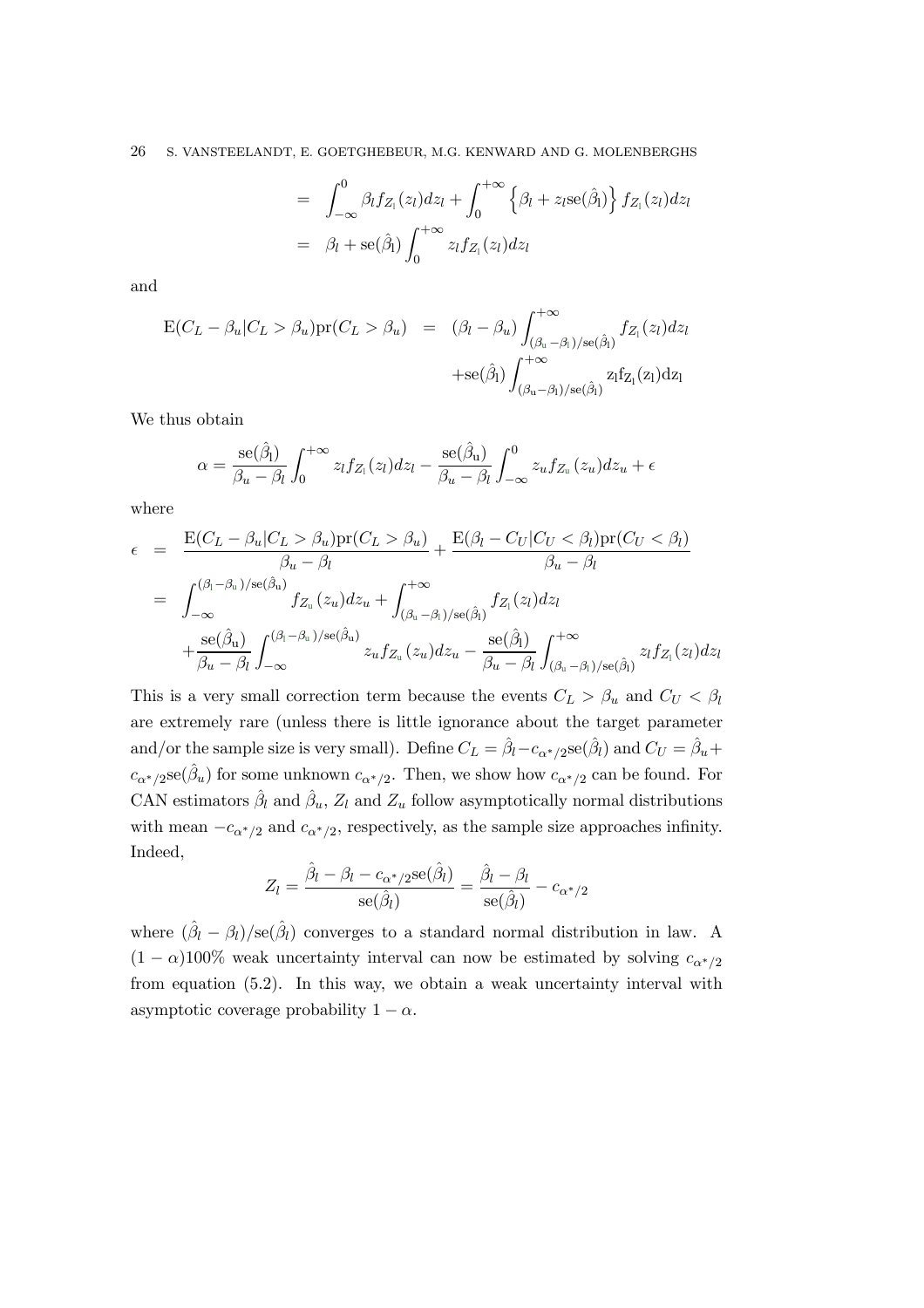$$
= \int_{-\infty}^{0} \beta_l f_{Z_l}(z_l) dz_l + \int_{0}^{+\infty} \left\{ \beta_l + z_l \operatorname{se}(\hat{\beta}_l) \right\} f_{Z_l}(z_l) dz_l
$$
  

$$
= \beta_l + \operatorname{se}(\hat{\beta}_l) \int_{0}^{+\infty} z_l f_{Z_l}(z_l) dz_l
$$

and

$$
E(C_L - \beta_u | C_L > \beta_u) pr(C_L > \beta_u) = (\beta_l - \beta_u) \int_{(\beta_u - \beta_l)/se(\hat{\beta}_l)}^{+\infty} f_{Z_l}(z_l) dz_l
$$
  
+se( $\hat{\beta}_l$ )  $\int_{(\beta_u - \beta_l)/se(\hat{\beta}_l)}^{+\infty} z_l f_{Z_l}(z_l) dz_l$ 

We thus obtain

$$
\alpha = \frac{\text{se}(\hat{\beta}_l)}{\beta_u - \beta_l} \int_0^{+\infty} z_l f_{Z_l}(z_l) dz_l - \frac{\text{se}(\hat{\beta}_u)}{\beta_u - \beta_l} \int_{-\infty}^0 z_u f_{Z_u}(z_u) dz_u + \epsilon
$$

where

$$
\epsilon = \frac{\mathcal{E}(C_L - \beta_u | C_L > \beta_u) \mathcal{P} \mathcal{P}(C_L > \beta_u)}{\beta_u - \beta_l} + \frac{\mathcal{E}(\beta_l - C_U | C_U < \beta_l) \mathcal{P} \mathcal{P}(C_U < \beta_l)}{\beta_u - \beta_l}
$$
\n
$$
= \int_{-\infty}^{(\beta_l - \beta_u)/\mathcal{S}\in(\hat{\beta}_u)} f_{Z_u}(z_u) dz_u + \int_{(\beta_u - \beta_l)/\mathcal{S}\in(\hat{\beta}_l)}^{+\infty} f_{Z_l}(z_l) dz_l + \frac{\mathcal{S}\in(\hat{\beta}_u)}{\beta_u - \beta_l} \int_{-\infty}^{(\beta_l - \beta_u)/\mathcal{S}\in(\hat{\beta}_u)} z_u f_{Z_u}(z_u) dz_u - \frac{\mathcal{S}\in(\hat{\beta}_l)}{\beta_u - \beta_l} \int_{(\beta_u - \beta_l)/\mathcal{S}\in(\hat{\beta}_l)}^{+\infty} z_l f_{Z_l}(z_l) dz_l
$$

This is a very small correction term because the events  $C_L > \beta_u$  and  $C_U < \beta_l$ are extremely rare (unless there is little ignorance about the target parameter and/or the sample size is very small). Define  $C_L = \hat{\beta}_l - c_{\alpha^*/2}$ se $(\hat{\beta}_l)$  and  $C_U = \hat{\beta}_u + c_{\alpha^*/2}$  $c_{\alpha^*/2}$ se( $\hat{\beta}_u$ ) for some unknown  $c_{\alpha^*/2}$ . Then, we show how  $c_{\alpha^*/2}$  can be found. For CAN estimators  $\hat{\beta}_l$  and  $\hat{\beta}_u$ ,  $Z_l$  and  $Z_u$  follow asymptotically normal distributions with mean  $-c_{\alpha^*/2}$  and  $c_{\alpha^*/2}$ , respectively, as the sample size approaches infinity. Indeed,

$$
Z_l = \frac{\hat{\beta}_l - \beta_l - c_{\alpha^*/2} \text{se}(\hat{\beta}_l)}{\text{se}(\hat{\beta}_l)} = \frac{\hat{\beta}_l - \beta_l}{\text{se}(\hat{\beta}_l)} - c_{\alpha^*/2}
$$

where  $(\hat{\beta}_l - \beta_l)/\text{se}(\hat{\beta}_l)$  converges to a standard normal distribution in law. A  $(1 - \alpha)100\%$  weak uncertainty interval can now be estimated by solving  $c_{\alpha^*/2}$ from equation (5.2). In this way, we obtain a weak uncertainty interval with asymptotic coverage probability  $1 - \alpha$ .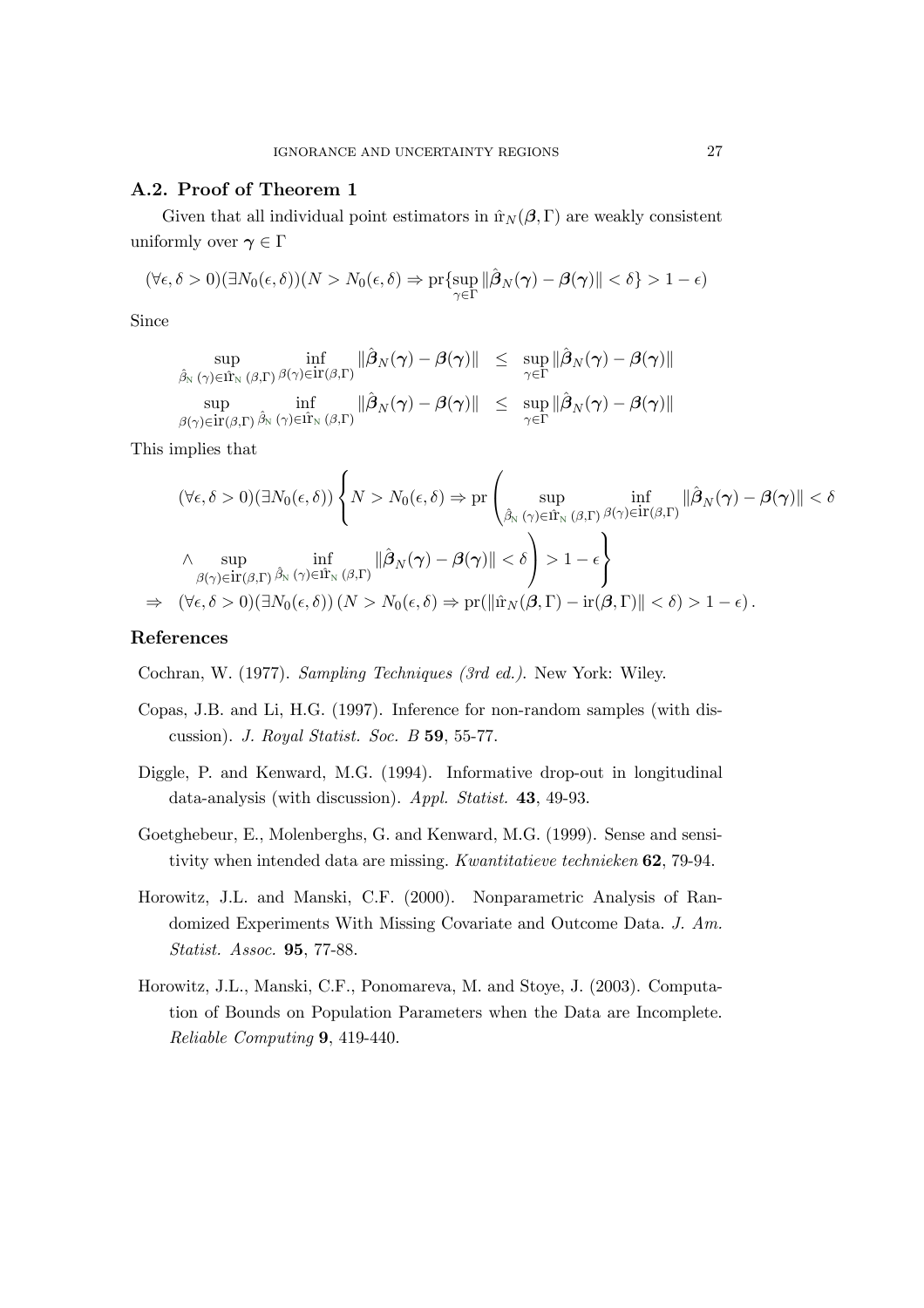# A.2. Proof of Theorem 1

Given that all individual point estimators in  $\hat{\mathbf{r}}_N(\boldsymbol{\beta}, \boldsymbol{\Gamma})$  are weakly consistent uniformly over  $\gamma \in \Gamma$ 

$$
(\forall \epsilon, \delta > 0)(\exists N_0(\epsilon, \delta))(N > N_0(\epsilon, \delta) \Rightarrow \Pr\{\sup_{\gamma \in \Gamma} ||\hat{\beta}_N(\gamma) - \beta(\gamma)|| < \delta\} > 1 - \epsilon)
$$

Since

$$
\sup_{\hat{\beta}_{\mathrm{N}}(\gamma)\in\hat{\Pi}_{\mathrm{N}}(\beta,\Gamma)}\inf_{\beta_{\mathrm{N}}(\gamma)\in\mathrm{ir}(\beta,\Gamma)}\|\hat{\beta}_{N}(\gamma)-\beta(\gamma)\|\leq \sup_{\gamma\in\Gamma}\|\hat{\beta}_{N}(\gamma)-\beta(\gamma)\|
$$
  
\n
$$
\sup_{\beta(\gamma)\in\mathrm{ir}(\beta,\Gamma)}\inf_{\hat{\beta}_{\mathrm{N}}(\gamma)\in\hat{\Pi}_{\mathrm{N}}(\beta,\Gamma)}\|\hat{\beta}_{N}(\gamma)-\beta(\gamma)\|\leq \sup_{\gamma\in\Gamma}\|\hat{\beta}_{N}(\gamma)-\beta(\gamma)\|
$$

This implies that

$$
(\forall \epsilon, \delta > 0)(\exists N_0(\epsilon, \delta)) \left\{ N > N_0(\epsilon, \delta) \Rightarrow \mathrm{pr} \left( \sup_{\hat{\beta}_N(\gamma) \in \hat{\mathbb{H}}_N(\beta, \Gamma)} \inf_{\beta_N(\gamma) \in \mathbb{H}(\beta, \Gamma)} \| \hat{\beta}_N(\gamma) - \beta(\gamma) \| < \delta \right) \right\}
$$
  

$$
\wedge \sup_{\beta(\gamma) \in \mathrm{ir}(\beta, \Gamma)} \inf_{\hat{\beta}_N(\gamma) \in \hat{\mathbb{H}}_N(\beta, \Gamma)} \| \hat{\beta}_N(\gamma) - \beta(\gamma) \| < \delta \right\} > 1 - \epsilon
$$
  

$$
\Rightarrow (\forall \epsilon, \delta > 0)(\exists N_0(\epsilon, \delta)) (N > N_0(\epsilon, \delta) \Rightarrow \mathrm{pr}(\| \hat{\mathbb{H}}_N(\beta, \Gamma) - \mathrm{ir}(\beta, \Gamma) \| < \delta) > 1 - \epsilon).
$$

# References

Cochran, W. (1977). Sampling Techniques (3rd ed.). New York: Wiley.

- Copas, J.B. and Li, H.G. (1997). Inference for non-random samples (with discussion). J. Royal Statist. Soc. B 59, 55-77.
- Diggle, P. and Kenward, M.G. (1994). Informative drop-out in longitudinal data-analysis (with discussion). Appl. Statist. 43, 49-93.
- Goetghebeur, E., Molenberghs, G. and Kenward, M.G. (1999). Sense and sensitivity when intended data are missing. Kwantitatieve technieken 62, 79-94.
- Horowitz, J.L. and Manski, C.F. (2000). Nonparametric Analysis of Randomized Experiments With Missing Covariate and Outcome Data. J. Am. Statist. Assoc. 95, 77-88.
- Horowitz, J.L., Manski, C.F., Ponomareva, M. and Stoye, J. (2003). Computation of Bounds on Population Parameters when the Data are Incomplete. Reliable Computing 9, 419-440.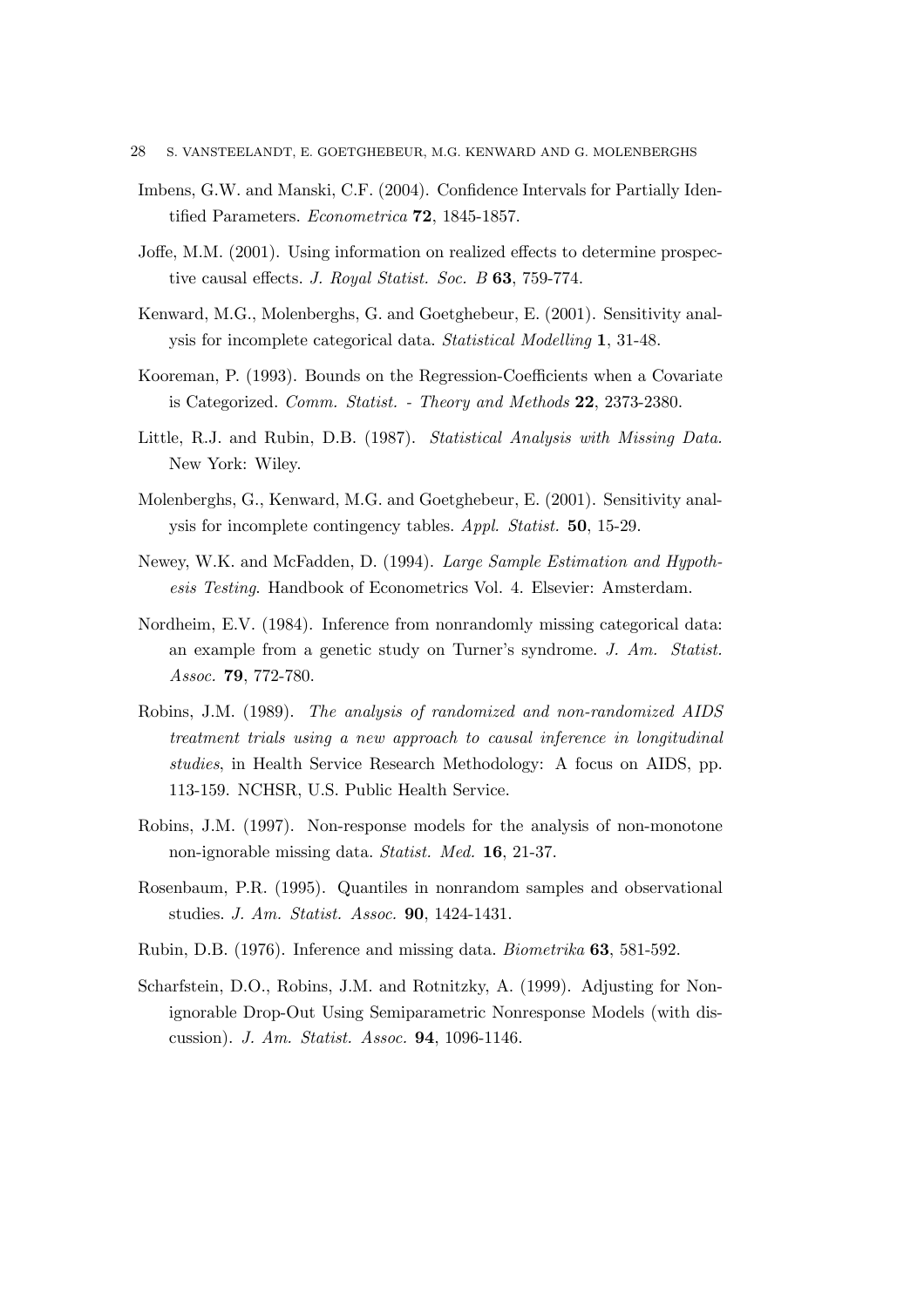- Imbens, G.W. and Manski, C.F. (2004). Confidence Intervals for Partially Identified Parameters. Econometrica 72, 1845-1857.
- Joffe, M.M. (2001). Using information on realized effects to determine prospective causal effects. J. Royal Statist. Soc. B 63, 759-774.
- Kenward, M.G., Molenberghs, G. and Goetghebeur, E. (2001). Sensitivity analysis for incomplete categorical data. Statistical Modelling 1, 31-48.
- Kooreman, P. (1993). Bounds on the Regression-Coefficients when a Covariate is Categorized. Comm. Statist. - Theory and Methods 22, 2373-2380.
- Little, R.J. and Rubin, D.B. (1987). Statistical Analysis with Missing Data. New York: Wiley.
- Molenberghs, G., Kenward, M.G. and Goetghebeur, E. (2001). Sensitivity analysis for incomplete contingency tables. Appl. Statist. 50, 15-29.
- Newey, W.K. and McFadden, D. (1994). Large Sample Estimation and Hypothesis Testing. Handbook of Econometrics Vol. 4. Elsevier: Amsterdam.
- Nordheim, E.V. (1984). Inference from nonrandomly missing categorical data: an example from a genetic study on Turner's syndrome. J. Am. Statist. Assoc. **79**, 772-780.
- Robins, J.M. (1989). The analysis of randomized and non-randomized AIDS treatment trials using a new approach to causal inference in longitudinal studies, in Health Service Research Methodology: A focus on AIDS, pp. 113-159. NCHSR, U.S. Public Health Service.
- Robins, J.M. (1997). Non-response models for the analysis of non-monotone non-ignorable missing data. Statist. Med. 16, 21-37.
- Rosenbaum, P.R. (1995). Quantiles in nonrandom samples and observational studies. J. Am. Statist. Assoc. 90, 1424-1431.
- Rubin, D.B. (1976). Inference and missing data. Biometrika 63, 581-592.
- Scharfstein, D.O., Robins, J.M. and Rotnitzky, A. (1999). Adjusting for Nonignorable Drop-Out Using Semiparametric Nonresponse Models (with discussion). J. Am. Statist. Assoc. 94, 1096-1146.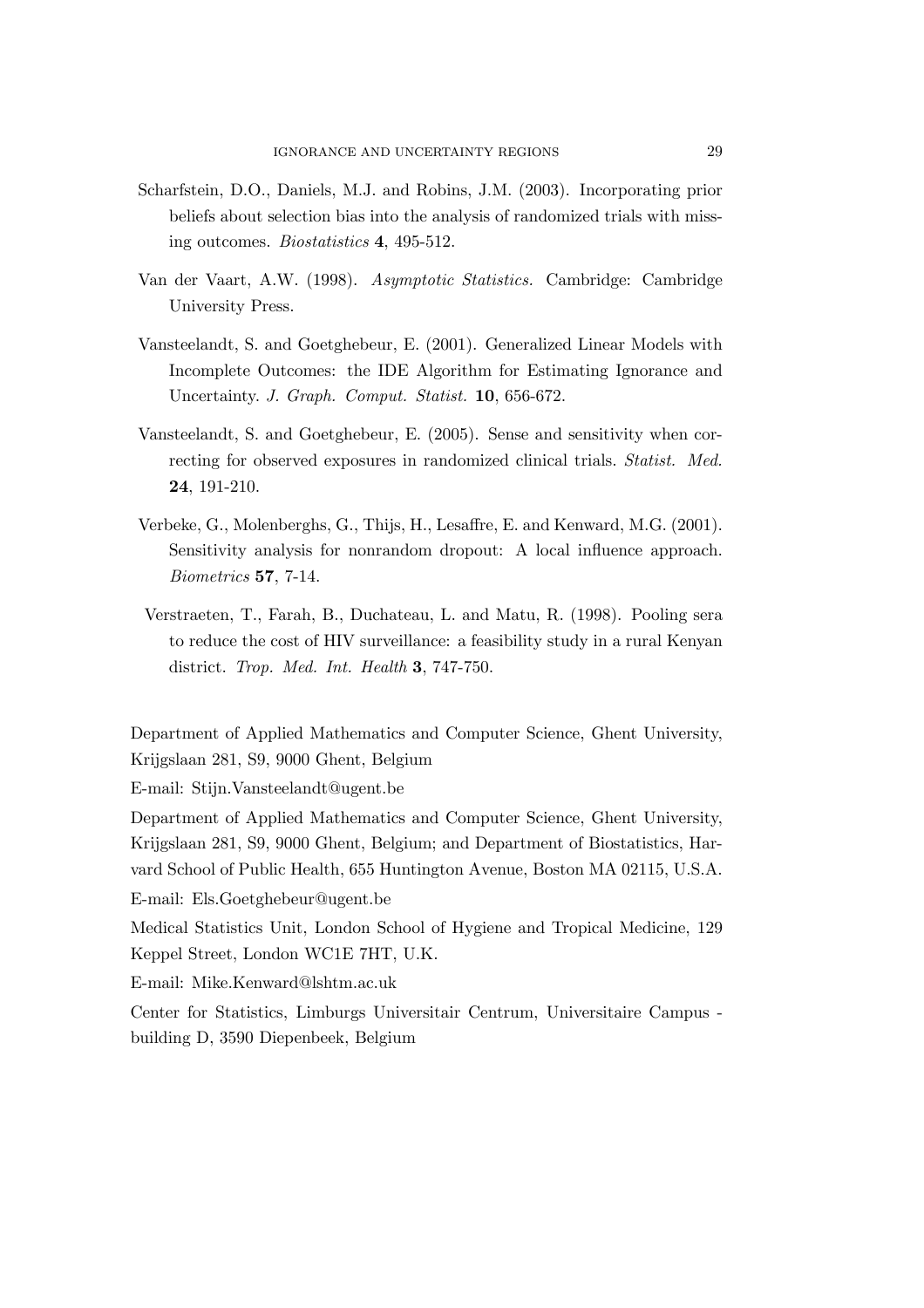- Scharfstein, D.O., Daniels, M.J. and Robins, J.M. (2003). Incorporating prior beliefs about selection bias into the analysis of randomized trials with missing outcomes. Biostatistics 4, 495-512.
- Van der Vaart, A.W. (1998). Asymptotic Statistics. Cambridge: Cambridge University Press.
- Vansteelandt, S. and Goetghebeur, E. (2001). Generalized Linear Models with Incomplete Outcomes: the IDE Algorithm for Estimating Ignorance and Uncertainty. J. Graph. Comput. Statist. 10, 656-672.
- Vansteelandt, S. and Goetghebeur, E. (2005). Sense and sensitivity when correcting for observed exposures in randomized clinical trials. Statist. Med. 24, 191-210.
- Verbeke, G., Molenberghs, G., Thijs, H., Lesaffre, E. and Kenward, M.G. (2001). Sensitivity analysis for nonrandom dropout: A local influence approach. Biometrics 57, 7-14.
- Verstraeten, T., Farah, B., Duchateau, L. and Matu, R. (1998). Pooling sera to reduce the cost of HIV surveillance: a feasibility study in a rural Kenyan district. Trop. Med. Int. Health 3, 747-750.

Department of Applied Mathematics and Computer Science, Ghent University, Krijgslaan 281, S9, 9000 Ghent, Belgium

E-mail: Stijn.Vansteelandt@ugent.be

Department of Applied Mathematics and Computer Science, Ghent University, Krijgslaan 281, S9, 9000 Ghent, Belgium; and Department of Biostatistics, Harvard School of Public Health, 655 Huntington Avenue, Boston MA 02115, U.S.A. E-mail: Els.Goetghebeur@ugent.be

Medical Statistics Unit, London School of Hygiene and Tropical Medicine, 129 Keppel Street, London WC1E 7HT, U.K.

E-mail: Mike.Kenward@lshtm.ac.uk

Center for Statistics, Limburgs Universitair Centrum, Universitaire Campus building D, 3590 Diepenbeek, Belgium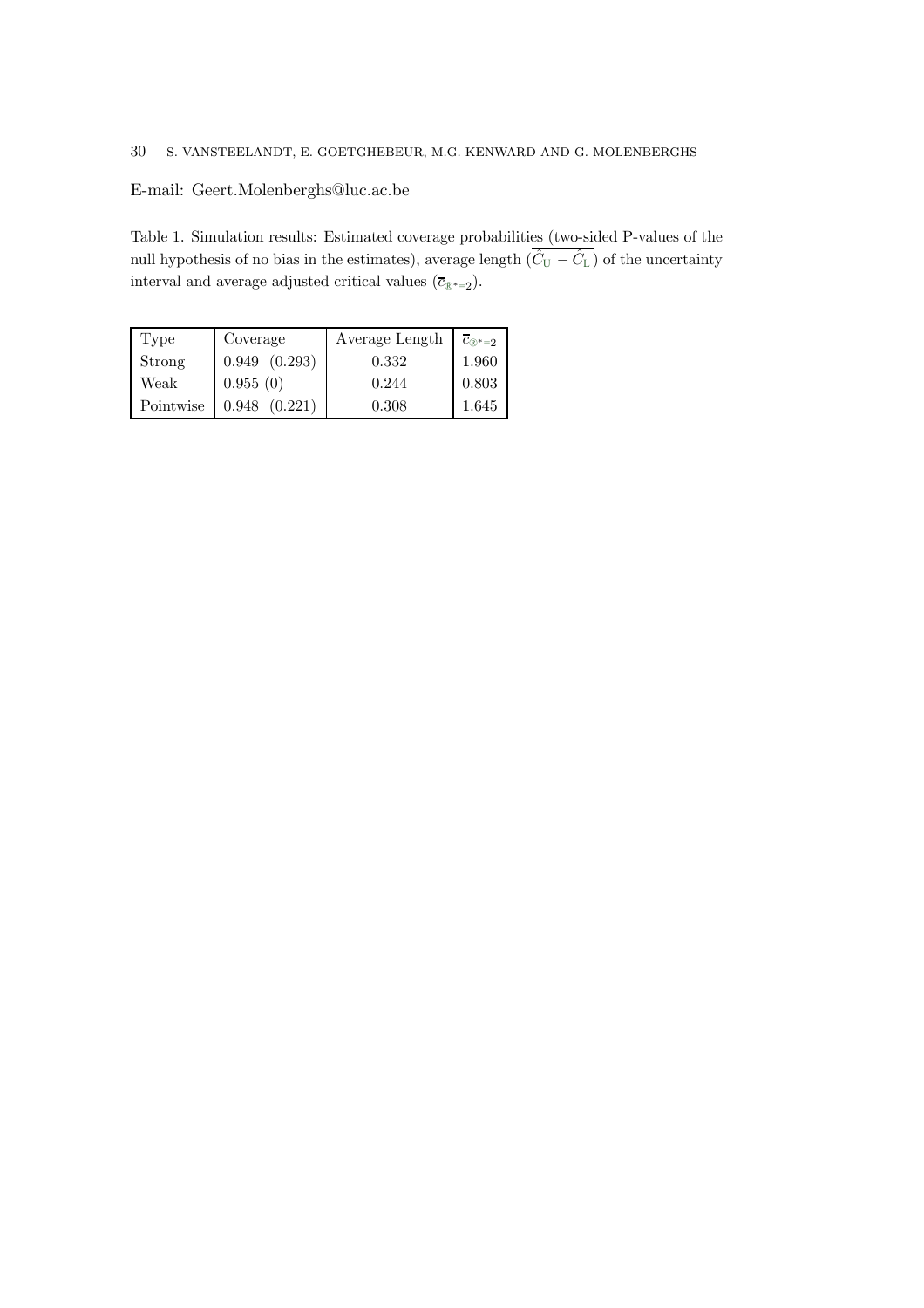# E-mail: Geert.Molenberghs@luc.ac.be

Table 1. Simulation results: Estimated coverage probabilities (two-sided P-values of the null hypothesis of no bias in the estimates), average length  $(\hat{C}_{U} - \hat{C}_{L})$  of the uncertainty interval and average adjusted critical values ( $\overline{c}_{\mathbb{R}^{*}=2}$ ).

| Type      | Coverage          | Average Length | $\overline{c}_{\mathbb{R}^*=2}$ |
|-----------|-------------------|----------------|---------------------------------|
| Strong    | $0.949$ $(0.293)$ | 0.332          | 1.960                           |
| Weak      | 0.955(0)          | 0.244          | 0.803                           |
| Pointwise | (0.221)<br>0.948  | 0.308          | 1.645                           |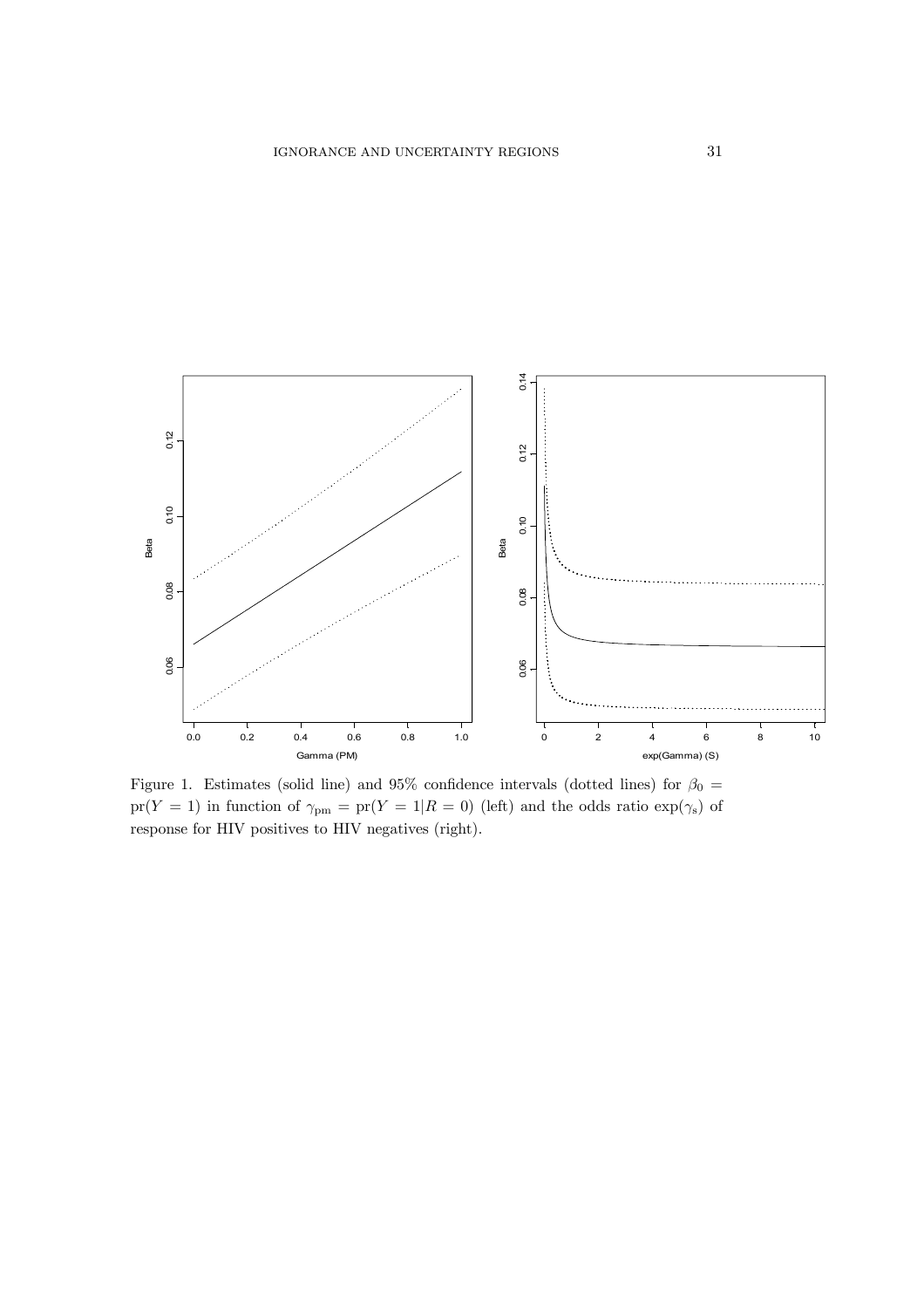

Figure 1. Estimates (solid line) and 95% confidence intervals (dotted lines) for  $\beta_0$  =  $pr(Y = 1)$  in function of  $\gamma_{pm} = pr(Y = 1 | R = 0)$  (left) and the odds ratio  $exp(\gamma_s)$  of response for HIV positives to HIV negatives (right).